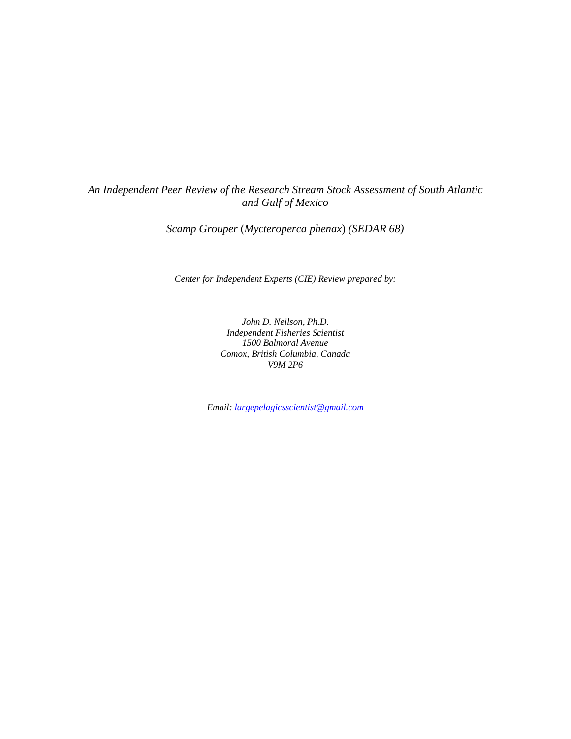# *An Independent Peer Review of the Research Stream Stock Assessment of South Atlantic and Gulf of Mexico*

*Scamp Grouper* (*Mycteroperca phenax*) *(SEDAR 68)*

*Center for Independent Experts (CIE) Review prepared by:*

*John D. Neilson, Ph.D. Independent Fisheries Scientist 1500 Balmoral Avenue Comox, British Columbia, Canada V9M 2P6*

*Email[: largepelagicsscientist@gmail.com](mailto:neilson@nbnet.nb.ca)*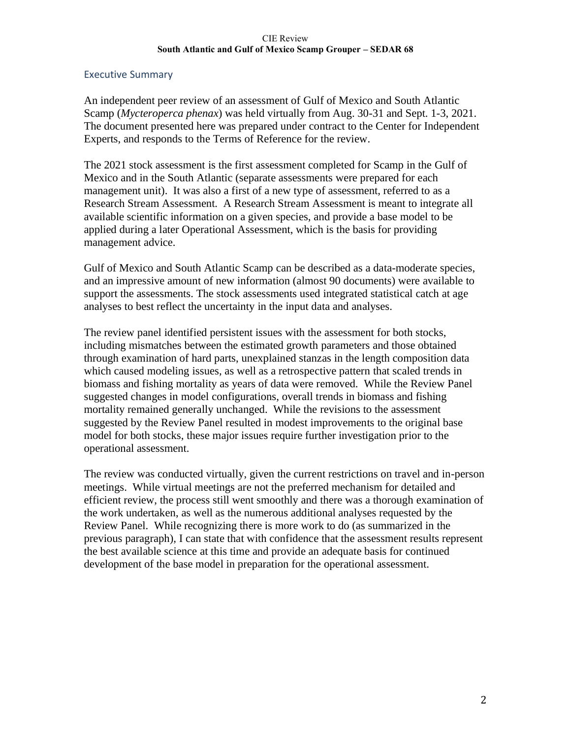### Executive Summary

An independent peer review of an assessment of Gulf of Mexico and South Atlantic Scamp (*Mycteroperca phenax*) was held virtually from Aug. 30-31 and Sept. 1-3, 2021. The document presented here was prepared under contract to the Center for Independent Experts, and responds to the Terms of Reference for the review.

The 2021 stock assessment is the first assessment completed for Scamp in the Gulf of Mexico and in the South Atlantic (separate assessments were prepared for each management unit). It was also a first of a new type of assessment, referred to as a Research Stream Assessment. A Research Stream Assessment is meant to integrate all available scientific information on a given species, and provide a base model to be applied during a later Operational Assessment, which is the basis for providing management advice.

Gulf of Mexico and South Atlantic Scamp can be described as a data-moderate species, and an impressive amount of new information (almost 90 documents) were available to support the assessments. The stock assessments used integrated statistical catch at age analyses to best reflect the uncertainty in the input data and analyses.

The review panel identified persistent issues with the assessment for both stocks, including mismatches between the estimated growth parameters and those obtained through examination of hard parts, unexplained stanzas in the length composition data which caused modeling issues, as well as a retrospective pattern that scaled trends in biomass and fishing mortality as years of data were removed. While the Review Panel suggested changes in model configurations, overall trends in biomass and fishing mortality remained generally unchanged. While the revisions to the assessment suggested by the Review Panel resulted in modest improvements to the original base model for both stocks, these major issues require further investigation prior to the operational assessment.

The review was conducted virtually, given the current restrictions on travel and in-person meetings. While virtual meetings are not the preferred mechanism for detailed and efficient review, the process still went smoothly and there was a thorough examination of the work undertaken, as well as the numerous additional analyses requested by the Review Panel. While recognizing there is more work to do (as summarized in the previous paragraph), I can state that with confidence that the assessment results represent the best available science at this time and provide an adequate basis for continued development of the base model in preparation for the operational assessment.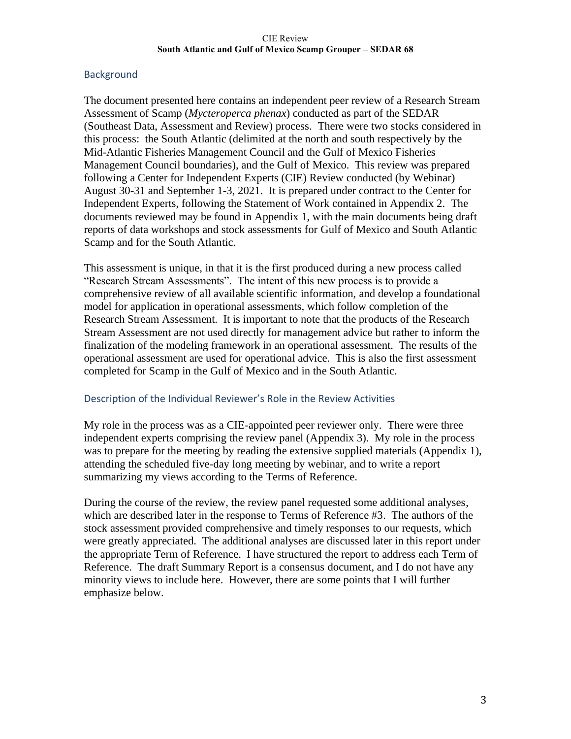# **Background**

The document presented here contains an independent peer review of a Research Stream Assessment of Scamp (*Mycteroperca phenax*) conducted as part of the SEDAR (Southeast Data, Assessment and Review) process. There were two stocks considered in this process: the South Atlantic (delimited at the north and south respectively by the Mid-Atlantic Fisheries Management Council and the Gulf of Mexico Fisheries Management Council boundaries), and the Gulf of Mexico. This review was prepared following a Center for Independent Experts (CIE) Review conducted (by Webinar) August 30-31 and September 1-3, 2021. It is prepared under contract to the Center for Independent Experts, following the Statement of Work contained in Appendix 2. The documents reviewed may be found in Appendix 1, with the main documents being draft reports of data workshops and stock assessments for Gulf of Mexico and South Atlantic Scamp and for the South Atlantic.

This assessment is unique, in that it is the first produced during a new process called "Research Stream Assessments". The intent of this new process is to provide a comprehensive review of all available scientific information, and develop a foundational model for application in operational assessments, which follow completion of the Research Stream Assessment. It is important to note that the products of the Research Stream Assessment are not used directly for management advice but rather to inform the finalization of the modeling framework in an operational assessment. The results of the operational assessment are used for operational advice. This is also the first assessment completed for Scamp in the Gulf of Mexico and in the South Atlantic.

### Description of the Individual Reviewer's Role in the Review Activities

My role in the process was as a CIE-appointed peer reviewer only. There were three independent experts comprising the review panel (Appendix 3). My role in the process was to prepare for the meeting by reading the extensive supplied materials (Appendix 1), attending the scheduled five-day long meeting by webinar, and to write a report summarizing my views according to the Terms of Reference.

During the course of the review, the review panel requested some additional analyses, which are described later in the response to Terms of Reference #3. The authors of the stock assessment provided comprehensive and timely responses to our requests, which were greatly appreciated. The additional analyses are discussed later in this report under the appropriate Term of Reference. I have structured the report to address each Term of Reference. The draft Summary Report is a consensus document, and I do not have any minority views to include here. However, there are some points that I will further emphasize below.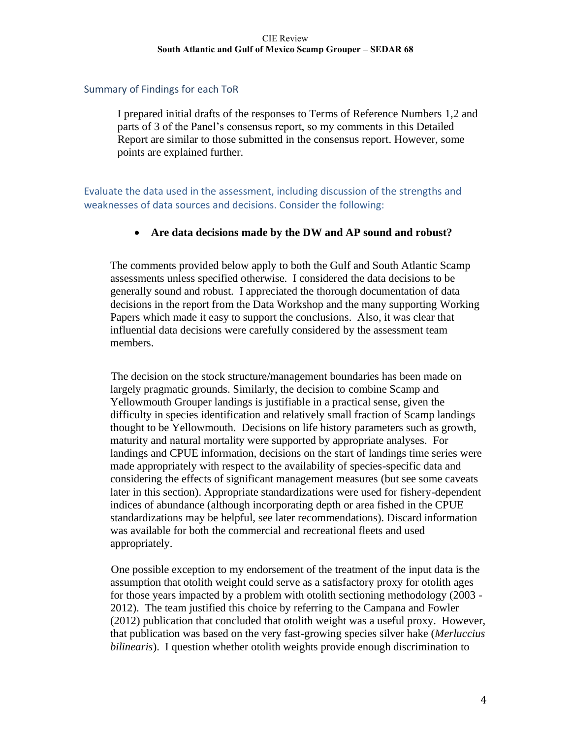## Summary of Findings for each ToR

I prepared initial drafts of the responses to Terms of Reference Numbers 1,2 and parts of 3 of the Panel's consensus report, so my comments in this Detailed Report are similar to those submitted in the consensus report. However, some points are explained further.

Evaluate the data used in the assessment, including discussion of the strengths and weaknesses of data sources and decisions. Consider the following:

# • **Are data decisions made by the DW and AP sound and robust?**

The comments provided below apply to both the Gulf and South Atlantic Scamp assessments unless specified otherwise.I considered the data decisions to be generally sound and robust. I appreciated the thorough documentation of data decisions in the report from the Data Workshop and the many supporting Working Papers which made it easy to support the conclusions. Also, it was clear that influential data decisions were carefully considered by the assessment team members.

The decision on the stock structure/management boundaries has been made on largely pragmatic grounds. Similarly, the decision to combine Scamp and Yellowmouth Grouper landings is justifiable in a practical sense, given the difficulty in species identification and relatively small fraction of Scamp landings thought to be Yellowmouth. Decisions on life history parameters such as growth, maturity and natural mortality were supported by appropriate analyses. For landings and CPUE information, decisions on the start of landings time series were made appropriately with respect to the availability of species-specific data and considering the effects of significant management measures (but see some caveats later in this section). Appropriate standardizations were used for fishery-dependent indices of abundance (although incorporating depth or area fished in the CPUE standardizations may be helpful, see later recommendations). Discard information was available for both the commercial and recreational fleets and used appropriately.

One possible exception to my endorsement of the treatment of the input data is the assumption that otolith weight could serve as a satisfactory proxy for otolith ages for those years impacted by a problem with otolith sectioning methodology (2003 - 2012). The team justified this choice by referring to the Campana and Fowler (2012) publication that concluded that otolith weight was a useful proxy. However, that publication was based on the very fast-growing species silver hake (*Merluccius bilinearis*). I question whether otolith weights provide enough discrimination to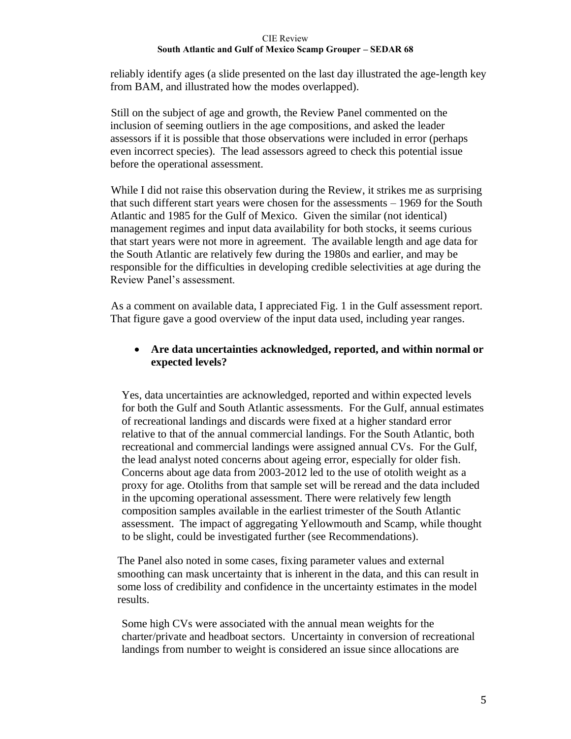reliably identify ages (a slide presented on the last day illustrated the age-length key from BAM, and illustrated how the modes overlapped).

Still on the subject of age and growth, the Review Panel commented on the inclusion of seeming outliers in the age compositions, and asked the leader assessors if it is possible that those observations were included in error (perhaps even incorrect species). The lead assessors agreed to check this potential issue before the operational assessment.

While I did not raise this observation during the Review, it strikes me as surprising that such different start years were chosen for the assessments – 1969 for the South Atlantic and 1985 for the Gulf of Mexico. Given the similar (not identical) management regimes and input data availability for both stocks, it seems curious that start years were not more in agreement. The available length and age data for the South Atlantic are relatively few during the 1980s and earlier, and may be responsible for the difficulties in developing credible selectivities at age during the Review Panel's assessment.

As a comment on available data, I appreciated Fig. 1 in the Gulf assessment report. That figure gave a good overview of the input data used, including year ranges.

# • **Are data uncertainties acknowledged, reported, and within normal or expected levels?**

Yes, data uncertainties are acknowledged, reported and within expected levels for both the Gulf and South Atlantic assessments. For the Gulf, annual estimates of recreational landings and discards were fixed at a higher standard error relative to that of the annual commercial landings. For the South Atlantic, both recreational and commercial landings were assigned annual CVs. For the Gulf, the lead analyst noted concerns about ageing error, especially for older fish. Concerns about age data from 2003-2012 led to the use of otolith weight as a proxy for age. Otoliths from that sample set will be reread and the data included in the upcoming operational assessment. There were relatively few length composition samples available in the earliest trimester of the South Atlantic assessment. The impact of aggregating Yellowmouth and Scamp, while thought to be slight, could be investigated further (see Recommendations).

The Panel also noted in some cases, fixing parameter values and external smoothing can mask uncertainty that is inherent in the data, and this can result in some loss of credibility and confidence in the uncertainty estimates in the model results.

Some high CVs were associated with the annual mean weights for the charter/private and headboat sectors. Uncertainty in conversion of recreational landings from number to weight is considered an issue since allocations are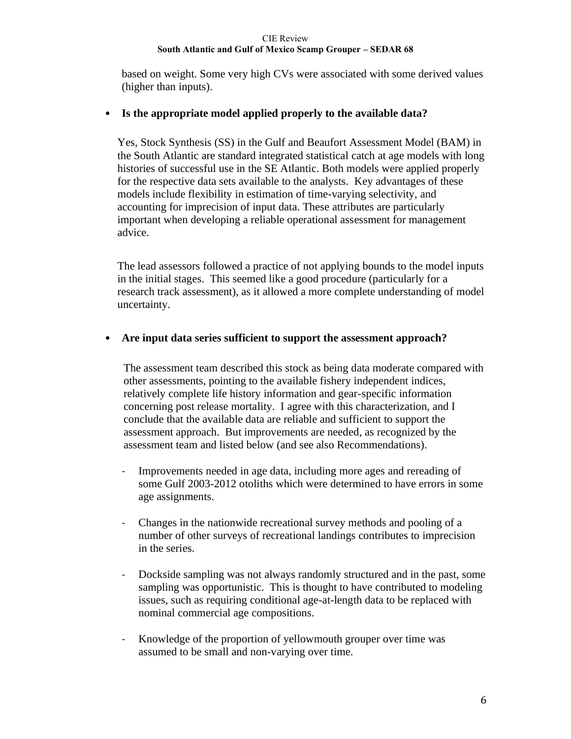based on weight. Some very high CVs were associated with some derived values (higher than inputs).

# • **Is the appropriate model applied properly to the available data?**

Yes, Stock Synthesis (SS) in the Gulf and Beaufort Assessment Model (BAM) in the South Atlantic are standard integrated statistical catch at age models with long histories of successful use in the SE Atlantic. Both models were applied properly for the respective data sets available to the analysts. Key advantages of these models include flexibility in estimation of time-varying selectivity, and accounting for imprecision of input data. These attributes are particularly important when developing a reliable operational assessment for management advice.

The lead assessors followed a practice of not applying bounds to the model inputs in the initial stages. This seemed like a good procedure (particularly for a research track assessment), as it allowed a more complete understanding of model uncertainty.

# • **Are input data series sufficient to support the assessment approach?**

The assessment team described this stock as being data moderate compared with other assessments, pointing to the available fishery independent indices, relatively complete life history information and gear-specific information concerning post release mortality. I agree with this characterization, and I conclude that the available data are reliable and sufficient to support the assessment approach. But improvements are needed, as recognized by the assessment team and listed below (and see also Recommendations).

- Improvements needed in age data, including more ages and rereading of some Gulf 2003-2012 otoliths which were determined to have errors in some age assignments.
- Changes in the nationwide recreational survey methods and pooling of a number of other surveys of recreational landings contributes to imprecision in the series.
- Dockside sampling was not always randomly structured and in the past, some sampling was opportunistic. This is thought to have contributed to modeling issues, such as requiring conditional age-at-length data to be replaced with nominal commercial age compositions.
- Knowledge of the proportion of yellowmouth grouper over time was assumed to be small and non-varying over time.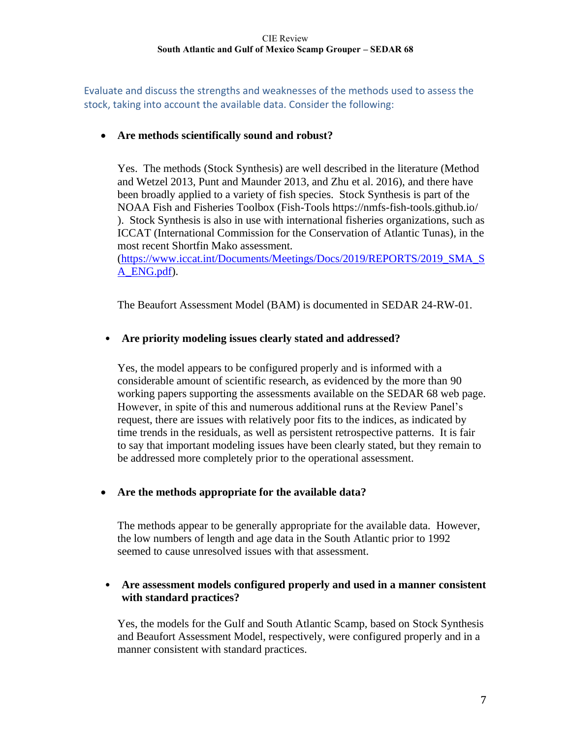Evaluate and discuss the strengths and weaknesses of the methods used to assess the stock, taking into account the available data. Consider the following:

# • **Are methods scientifically sound and robust?**

Yes. The methods (Stock Synthesis) are well described in the literature (Method and Wetzel 2013, Punt and Maunder 2013, and Zhu et al. 2016), and there have been broadly applied to a variety of fish species. Stock Synthesis is part of the NOAA Fish and Fisheries Toolbox (Fish-Tools https://nmfs-fish-tools.github.io/ ). Stock Synthesis is also in use with international fisheries organizations, such as ICCAT (International Commission for the Conservation of Atlantic Tunas), in the most recent Shortfin Mako assessment.

[\(https://www.iccat.int/Documents/Meetings/Docs/2019/REPORTS/2019\\_SMA\\_S](https://www.iccat.int/Documents/Meetings/Docs/2019/REPORTS/2019_SMA_SA_ENG.pdf) [A\\_ENG.pdf\)](https://www.iccat.int/Documents/Meetings/Docs/2019/REPORTS/2019_SMA_SA_ENG.pdf).

The Beaufort Assessment Model (BAM) is documented in SEDAR 24-RW-01.

# • **Are priority modeling issues clearly stated and addressed?**

Yes, the model appears to be configured properly and is informed with a considerable amount of scientific research, as evidenced by the more than 90 working papers supporting the assessments available on the SEDAR 68 web page. However, in spite of this and numerous additional runs at the Review Panel's request, there are issues with relatively poor fits to the indices, as indicated by time trends in the residuals, as well as persistent retrospective patterns. It is fair to say that important modeling issues have been clearly stated, but they remain to be addressed more completely prior to the operational assessment.

# • **Are the methods appropriate for the available data?**

The methods appear to be generally appropriate for the available data. However, the low numbers of length and age data in the South Atlantic prior to 1992 seemed to cause unresolved issues with that assessment.

# • **Are assessment models configured properly and used in a manner consistent with standard practices?**

Yes, the models for the Gulf and South Atlantic Scamp, based on Stock Synthesis and Beaufort Assessment Model, respectively, were configured properly and in a manner consistent with standard practices.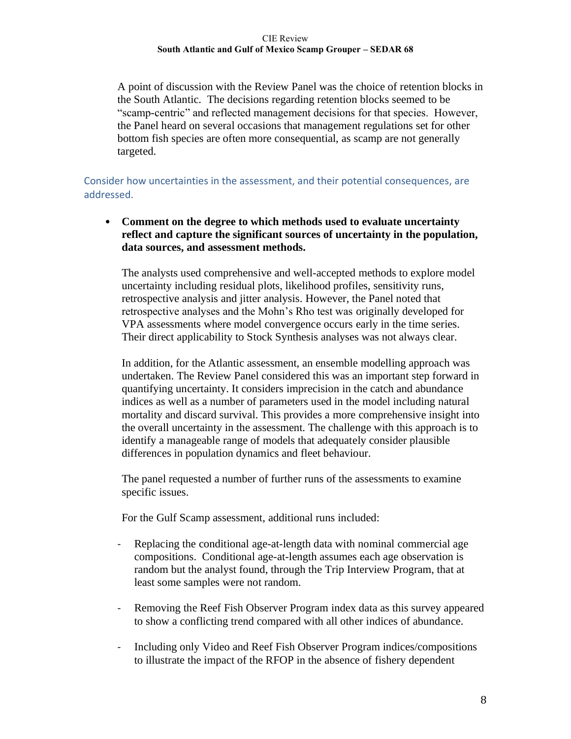A point of discussion with the Review Panel was the choice of retention blocks in the South Atlantic. The decisions regarding retention blocks seemed to be "scamp-centric" and reflected management decisions for that species. However, the Panel heard on several occasions that management regulations set for other bottom fish species are often more consequential, as scamp are not generally targeted.

Consider how uncertainties in the assessment, and their potential consequences, are addressed.

• **Comment on the degree to which methods used to evaluate uncertainty reflect and capture the significant sources of uncertainty in the population, data sources, and assessment methods.**

The analysts used comprehensive and well-accepted methods to explore model uncertainty including residual plots, likelihood profiles, sensitivity runs, retrospective analysis and jitter analysis. However, the Panel noted that retrospective analyses and the Mohn's Rho test was originally developed for VPA assessments where model convergence occurs early in the time series. Their direct applicability to Stock Synthesis analyses was not always clear.

In addition, for the Atlantic assessment, an ensemble modelling approach was undertaken. The Review Panel considered this was an important step forward in quantifying uncertainty. It considers imprecision in the catch and abundance indices as well as a number of parameters used in the model including natural mortality and discard survival. This provides a more comprehensive insight into the overall uncertainty in the assessment. The challenge with this approach is to identify a manageable range of models that adequately consider plausible differences in population dynamics and fleet behaviour.

The panel requested a number of further runs of the assessments to examine specific issues.

For the Gulf Scamp assessment, additional runs included:

- Replacing the conditional age-at-length data with nominal commercial age compositions. Conditional age-at-length assumes each age observation is random but the analyst found, through the Trip Interview Program, that at least some samples were not random.
- Removing the Reef Fish Observer Program index data as this survey appeared to show a conflicting trend compared with all other indices of abundance.
- Including only Video and Reef Fish Observer Program indices/compositions to illustrate the impact of the RFOP in the absence of fishery dependent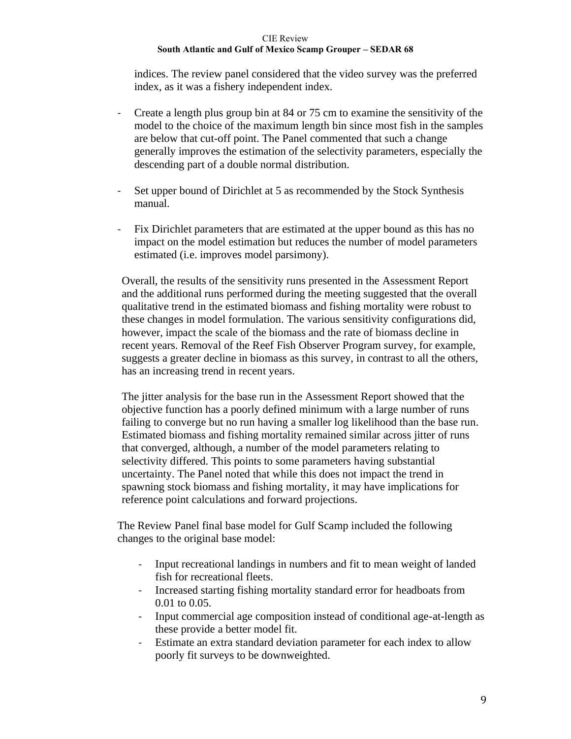indices. The review panel considered that the video survey was the preferred index, as it was a fishery independent index.

- Create a length plus group bin at 84 or 75 cm to examine the sensitivity of the model to the choice of the maximum length bin since most fish in the samples are below that cut-off point. The Panel commented that such a change generally improves the estimation of the selectivity parameters, especially the descending part of a double normal distribution.
- Set upper bound of Dirichlet at 5 as recommended by the Stock Synthesis manual.
- Fix Dirichlet parameters that are estimated at the upper bound as this has no impact on the model estimation but reduces the number of model parameters estimated (i.e. improves model parsimony).

Overall, the results of the sensitivity runs presented in the Assessment Report and the additional runs performed during the meeting suggested that the overall qualitative trend in the estimated biomass and fishing mortality were robust to these changes in model formulation. The various sensitivity configurations did, however, impact the scale of the biomass and the rate of biomass decline in recent years. Removal of the Reef Fish Observer Program survey, for example, suggests a greater decline in biomass as this survey, in contrast to all the others, has an increasing trend in recent years.

The jitter analysis for the base run in the Assessment Report showed that the objective function has a poorly defined minimum with a large number of runs failing to converge but no run having a smaller log likelihood than the base run. Estimated biomass and fishing mortality remained similar across jitter of runs that converged, although, a number of the model parameters relating to selectivity differed. This points to some parameters having substantial uncertainty. The Panel noted that while this does not impact the trend in spawning stock biomass and fishing mortality, it may have implications for reference point calculations and forward projections.

The Review Panel final base model for Gulf Scamp included the following changes to the original base model:

- Input recreational landings in numbers and fit to mean weight of landed fish for recreational fleets.
- Increased starting fishing mortality standard error for headboats from 0.01 to 0.05.
- Input commercial age composition instead of conditional age-at-length as these provide a better model fit.
- Estimate an extra standard deviation parameter for each index to allow poorly fit surveys to be downweighted.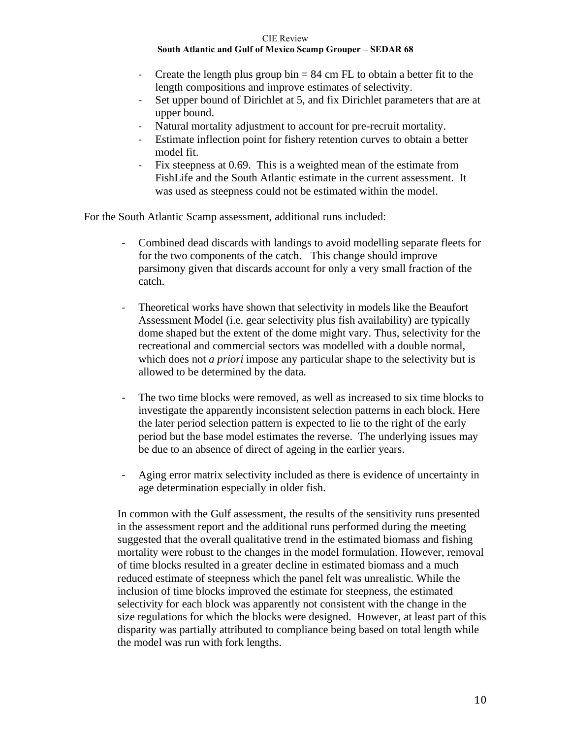- Create the length plus group bin  $= 84$  cm FL to obtain a better fit to the length compositions and improve estimates of selectivity.
- Set upper bound of Dirichlet at 5, and fix Dirichlet parameters that are at upper bound.
- Natural mortality adjustment to account for pre-recruit mortality.
- Estimate inflection point for fishery retention curves to obtain a better model fit.
- Fix steepness at 0.69. This is a weighted mean of the estimate from FishLife and the South Atlantic estimate in the current assessment. It was used as steepness could not be estimated within the model.

For the South Atlantic Scamp assessment, additional runs included:

- Combined dead discards with landings to avoid modelling separate fleets for for the two components of the catch. This change should improve parsimony given that discards account for only a very small fraction of the catch.
- Theoretical works have shown that selectivity in models like the Beaufort Assessment Model (i.e. gear selectivity plus fish availability) are typically dome shaped but the extent of the dome might vary. Thus, selectivity for the recreational and commercial sectors was modelled with a double normal, which does not *a priori* impose any particular shape to the selectivity but is allowed to be determined by the data.
- The two time blocks were removed, as well as increased to six time blocks to investigate the apparently inconsistent selection patterns in each block. Here the later period selection pattern is expected to lie to the right of the early period but the base model estimates the reverse. The underlying issues may be due to an absence of direct of ageing in the earlier years.
- Aging error matrix selectivity included as there is evidence of uncertainty in age determination especially in older fish.

In common with the Gulf assessment, the results of the sensitivity runs presented in the assessment report and the additional runs performed during the meeting suggested that the overall qualitative trend in the estimated biomass and fishing mortality were robust to the changes in the model formulation. However, removal of time blocks resulted in a greater decline in estimated biomass and a much reduced estimate of steepness which the panel felt was unrealistic. While the inclusion of time blocks improved the estimate for steepness, the estimated selectivity for each block was apparently not consistent with the change in the size regulations for which the blocks were designed. However, at least part of this disparity was partially attributed to compliance being based on total length while the model was run with fork lengths.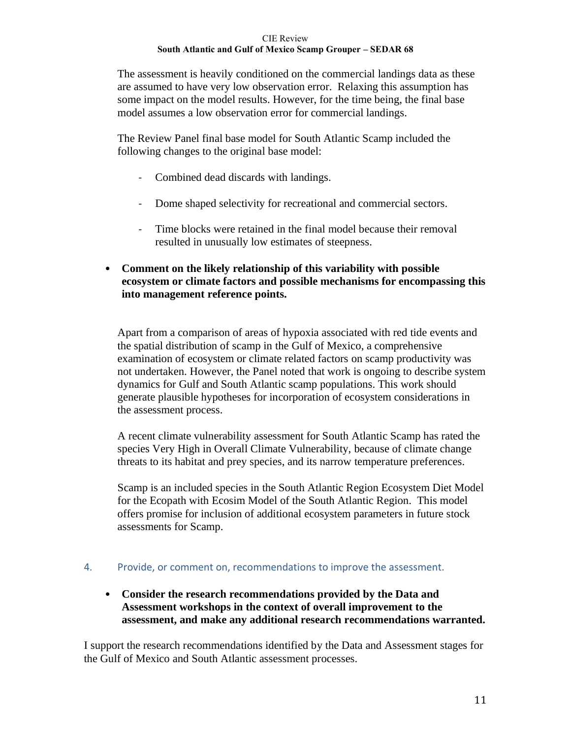The assessment is heavily conditioned on the commercial landings data as these are assumed to have very low observation error. Relaxing this assumption has some impact on the model results. However, for the time being, the final base model assumes a low observation error for commercial landings.

The Review Panel final base model for South Atlantic Scamp included the following changes to the original base model:

- Combined dead discards with landings.
- Dome shaped selectivity for recreational and commercial sectors.
- Time blocks were retained in the final model because their removal resulted in unusually low estimates of steepness.
- **Comment on the likely relationship of this variability with possible ecosystem or climate factors and possible mechanisms for encompassing this into management reference points.**

Apart from a comparison of areas of hypoxia associated with red tide events and the spatial distribution of scamp in the Gulf of Mexico, a comprehensive examination of ecosystem or climate related factors on scamp productivity was not undertaken. However, the Panel noted that work is ongoing to describe system dynamics for Gulf and South Atlantic scamp populations. This work should generate plausible hypotheses for incorporation of ecosystem considerations in the assessment process.

A recent climate vulnerability assessment for South Atlantic Scamp has rated the species Very High in Overall Climate Vulnerability, because of climate change threats to its habitat and prey species, and its narrow temperature preferences.

Scamp is an included species in the South Atlantic Region Ecosystem Diet Model for the Ecopath with Ecosim Model of the South Atlantic Region. This model offers promise for inclusion of additional ecosystem parameters in future stock assessments for Scamp.

# 4. Provide, or comment on, recommendations to improve the assessment.

• **Consider the research recommendations provided by the Data and Assessment workshops in the context of overall improvement to the assessment, and make any additional research recommendations warranted.**

I support the research recommendations identified by the Data and Assessment stages for the Gulf of Mexico and South Atlantic assessment processes.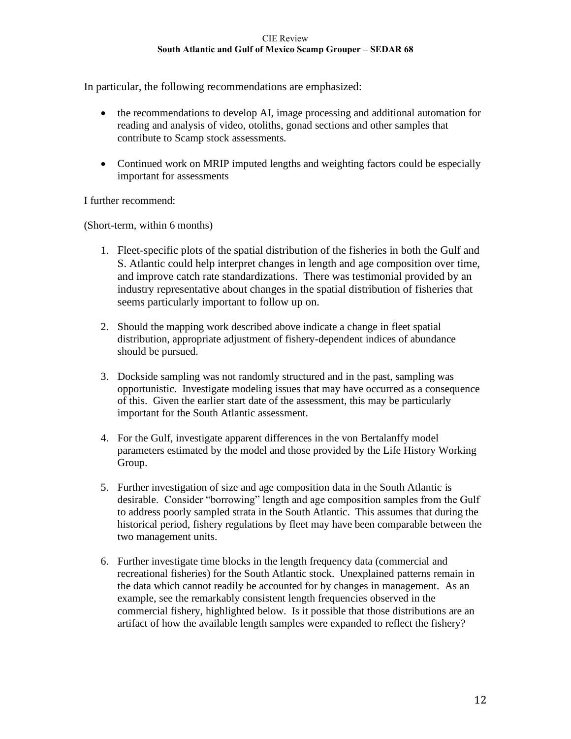In particular, the following recommendations are emphasized:

- the recommendations to develop AI, image processing and additional automation for reading and analysis of video, otoliths, gonad sections and other samples that contribute to Scamp stock assessments.
- Continued work on MRIP imputed lengths and weighting factors could be especially important for assessments

I further recommend:

(Short-term, within 6 months)

- 1. Fleet-specific plots of the spatial distribution of the fisheries in both the Gulf and S. Atlantic could help interpret changes in length and age composition over time, and improve catch rate standardizations. There was testimonial provided by an industry representative about changes in the spatial distribution of fisheries that seems particularly important to follow up on.
- 2. Should the mapping work described above indicate a change in fleet spatial distribution, appropriate adjustment of fishery-dependent indices of abundance should be pursued.
- 3. Dockside sampling was not randomly structured and in the past, sampling was opportunistic. Investigate modeling issues that may have occurred as a consequence of this. Given the earlier start date of the assessment, this may be particularly important for the South Atlantic assessment.
- 4. For the Gulf, investigate apparent differences in the von Bertalanffy model parameters estimated by the model and those provided by the Life History Working Group.
- 5. Further investigation of size and age composition data in the South Atlantic is desirable. Consider "borrowing" length and age composition samples from the Gulf to address poorly sampled strata in the South Atlantic. This assumes that during the historical period, fishery regulations by fleet may have been comparable between the two management units.
- 6. Further investigate time blocks in the length frequency data (commercial and recreational fisheries) for the South Atlantic stock. Unexplained patterns remain in the data which cannot readily be accounted for by changes in management. As an example, see the remarkably consistent length frequencies observed in the commercial fishery, highlighted below. Is it possible that those distributions are an artifact of how the available length samples were expanded to reflect the fishery?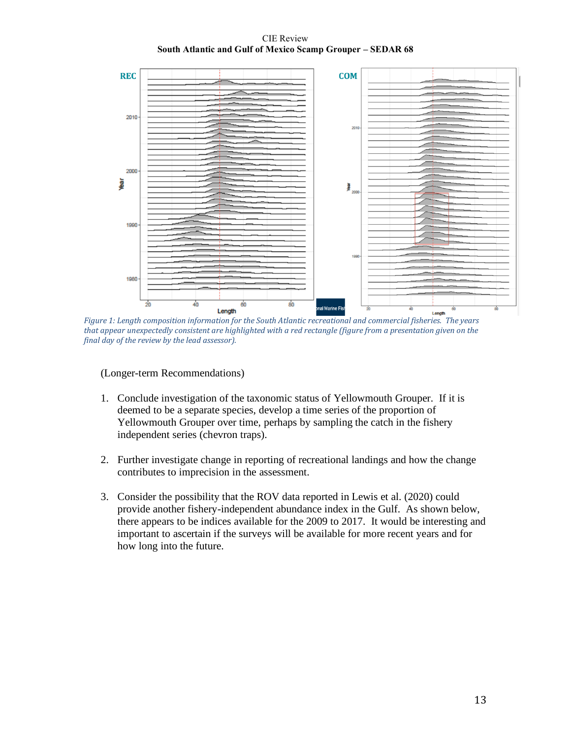CIE Review **South Atlantic and Gulf of Mexico Scamp Grouper – SEDAR 68**



*Figure 1: Length composition information for the South Atlantic recreational and commercial fisheries. The years that appear unexpectedly consistent are highlighted with a red rectangle (figure from a presentation given on the final day of the review by the lead assessor).*

(Longer-term Recommendations)

- 1. Conclude investigation of the taxonomic status of Yellowmouth Grouper. If it is deemed to be a separate species, develop a time series of the proportion of Yellowmouth Grouper over time, perhaps by sampling the catch in the fishery independent series (chevron traps).
- 2. Further investigate change in reporting of recreational landings and how the change contributes to imprecision in the assessment.
- 3. Consider the possibility that the ROV data reported in Lewis et al. (2020) could provide another fishery-independent abundance index in the Gulf. As shown below, there appears to be indices available for the 2009 to 2017. It would be interesting and important to ascertain if the surveys will be available for more recent years and for how long into the future.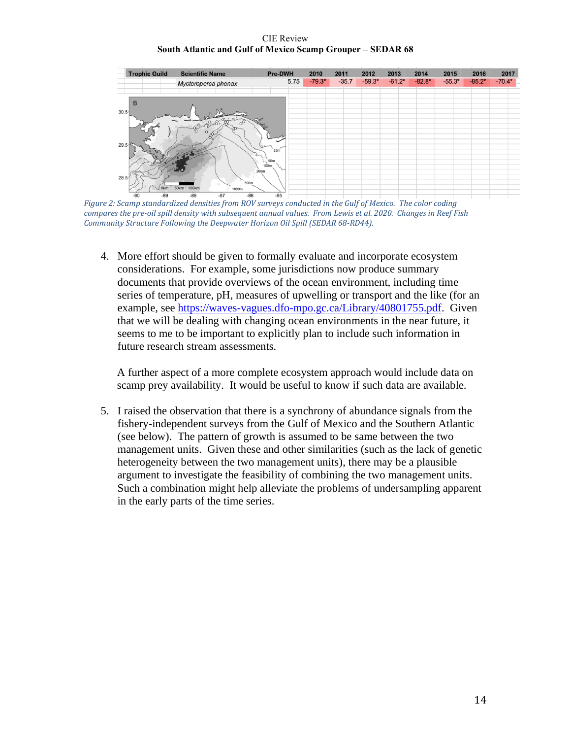CIE Review **South Atlantic and Gulf of Mexico Scamp Grouper – SEDAR 68**



*Figure 2: Scamp standardized densities from ROV surveys conducted in the Gulf of Mexico. The color coding compares the pre-oil spill density with subsequent annual values. From Lewis et al. 2020. Changes in Reef Fish Community Structure Following the Deepwater Horizon Oil Spill (SEDAR 68-RD44).*

4. More effort should be given to formally evaluate and incorporate ecosystem considerations. For example, some jurisdictions now produce summary documents that provide overviews of the ocean environment, including time series of temperature, pH, measures of upwelling or transport and the like (for an example, see [https://waves-vagues.dfo-mpo.gc.ca/Library/40801755.pdf.](https://waves-vagues.dfo-mpo.gc.ca/Library/40801755.pdf) Given that we will be dealing with changing ocean environments in the near future, it seems to me to be important to explicitly plan to include such information in future research stream assessments.

A further aspect of a more complete ecosystem approach would include data on scamp prey availability. It would be useful to know if such data are available.

5. I raised the observation that there is a synchrony of abundance signals from the fishery-independent surveys from the Gulf of Mexico and the Southern Atlantic (see below). The pattern of growth is assumed to be same between the two management units. Given these and other similarities (such as the lack of genetic heterogeneity between the two management units), there may be a plausible argument to investigate the feasibility of combining the two management units. Such a combination might help alleviate the problems of undersampling apparent in the early parts of the time series.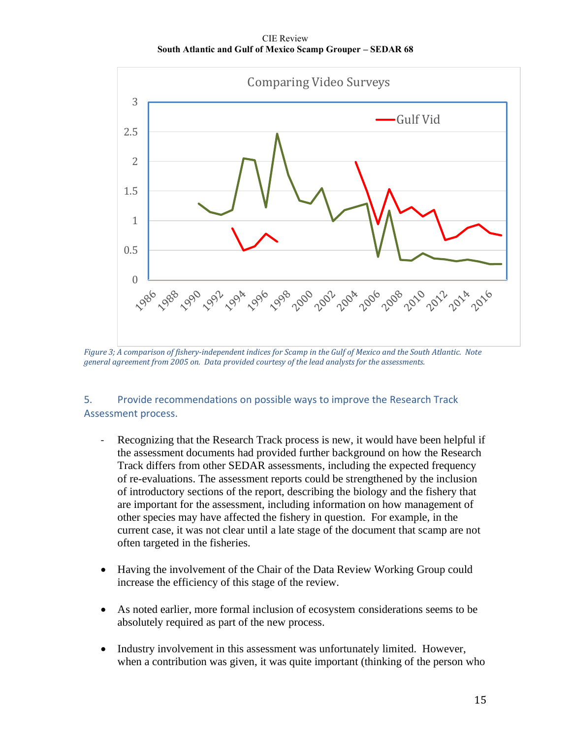CIE Review **South Atlantic and Gulf of Mexico Scamp Grouper – SEDAR 68**



*Figure 3; A comparison of fishery-independent indices for Scamp in the Gulf of Mexico and the South Atlantic. Note general agreement from 2005 on. Data provided courtesy of the lead analysts for the assessments.*

# 5. Provide recommendations on possible ways to improve the Research Track Assessment process.

- Recognizing that the Research Track process is new, it would have been helpful if the assessment documents had provided further background on how the Research Track differs from other SEDAR assessments, including the expected frequency of re-evaluations. The assessment reports could be strengthened by the inclusion of introductory sections of the report, describing the biology and the fishery that are important for the assessment, including information on how management of other species may have affected the fishery in question. For example, in the current case, it was not clear until a late stage of the document that scamp are not often targeted in the fisheries.
- Having the involvement of the Chair of the Data Review Working Group could increase the efficiency of this stage of the review.
- As noted earlier, more formal inclusion of ecosystem considerations seems to be absolutely required as part of the new process.
- Industry involvement in this assessment was unfortunately limited. However, when a contribution was given, it was quite important (thinking of the person who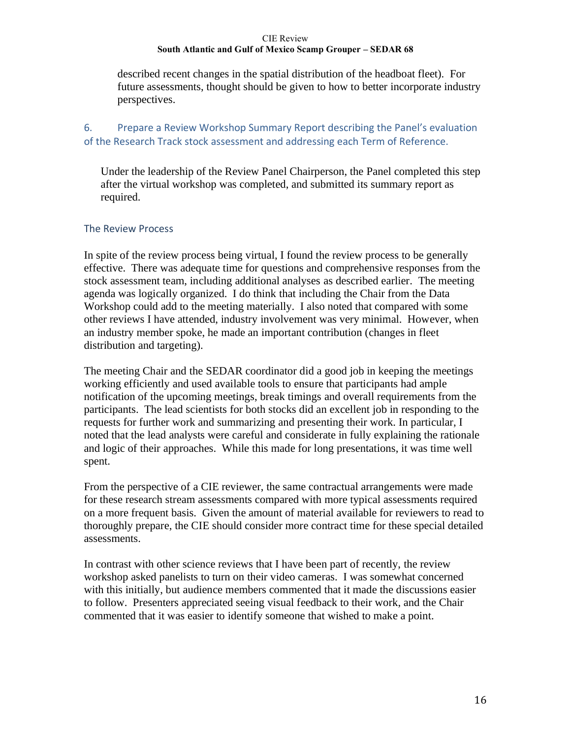described recent changes in the spatial distribution of the headboat fleet). For future assessments, thought should be given to how to better incorporate industry perspectives.

# 6. Prepare a Review Workshop Summary Report describing the Panel's evaluation of the Research Track stock assessment and addressing each Term of Reference.

Under the leadership of the Review Panel Chairperson, the Panel completed this step after the virtual workshop was completed, and submitted its summary report as required.

# The Review Process

In spite of the review process being virtual, I found the review process to be generally effective. There was adequate time for questions and comprehensive responses from the stock assessment team, including additional analyses as described earlier. The meeting agenda was logically organized. I do think that including the Chair from the Data Workshop could add to the meeting materially. I also noted that compared with some other reviews I have attended, industry involvement was very minimal. However, when an industry member spoke, he made an important contribution (changes in fleet distribution and targeting).

The meeting Chair and the SEDAR coordinator did a good job in keeping the meetings working efficiently and used available tools to ensure that participants had ample notification of the upcoming meetings, break timings and overall requirements from the participants. The lead scientists for both stocks did an excellent job in responding to the requests for further work and summarizing and presenting their work. In particular, I noted that the lead analysts were careful and considerate in fully explaining the rationale and logic of their approaches. While this made for long presentations, it was time well spent.

From the perspective of a CIE reviewer, the same contractual arrangements were made for these research stream assessments compared with more typical assessments required on a more frequent basis. Given the amount of material available for reviewers to read to thoroughly prepare, the CIE should consider more contract time for these special detailed assessments.

In contrast with other science reviews that I have been part of recently, the review workshop asked panelists to turn on their video cameras. I was somewhat concerned with this initially, but audience members commented that it made the discussions easier to follow. Presenters appreciated seeing visual feedback to their work, and the Chair commented that it was easier to identify someone that wished to make a point.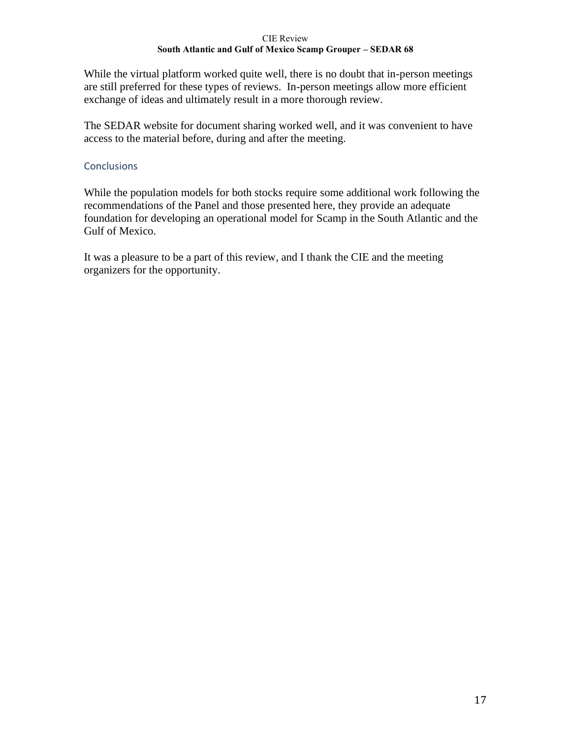While the virtual platform worked quite well, there is no doubt that in-person meetings are still preferred for these types of reviews. In-person meetings allow more efficient exchange of ideas and ultimately result in a more thorough review.

The SEDAR website for document sharing worked well, and it was convenient to have access to the material before, during and after the meeting.

# **Conclusions**

While the population models for both stocks require some additional work following the recommendations of the Panel and those presented here, they provide an adequate foundation for developing an operational model for Scamp in the South Atlantic and the Gulf of Mexico.

It was a pleasure to be a part of this review, and I thank the CIE and the meeting organizers for the opportunity.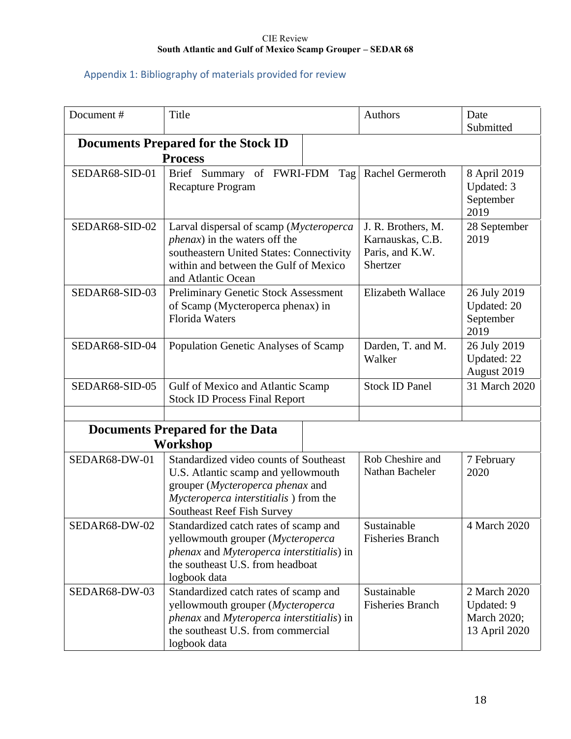# Appendix 1: Bibliography of materials provided for review

| Document#      | Title                                                                                                                                                                                           | Authors                                                               | Date<br>Submitted                                          |
|----------------|-------------------------------------------------------------------------------------------------------------------------------------------------------------------------------------------------|-----------------------------------------------------------------------|------------------------------------------------------------|
|                | <b>Documents Prepared for the Stock ID</b><br><b>Process</b>                                                                                                                                    |                                                                       |                                                            |
| SEDAR68-SID-01 | Brief Summary of FWRI-FDM<br>Tag<br><b>Recapture Program</b>                                                                                                                                    | Rachel Germeroth                                                      | 8 April 2019<br>Updated: 3<br>September<br>2019            |
| SEDAR68-SID-02 | Larval dispersal of scamp (Mycteroperca<br><i>phenax</i> ) in the waters off the<br>southeastern United States: Connectivity<br>within and between the Gulf of Mexico<br>and Atlantic Ocean     | J. R. Brothers, M.<br>Karnauskas, C.B.<br>Paris, and K.W.<br>Shertzer | 28 September<br>2019                                       |
| SEDAR68-SID-03 | <b>Preliminary Genetic Stock Assessment</b><br>of Scamp (Mycteroperca phenax) in<br><b>Florida Waters</b>                                                                                       | Elizabeth Wallace                                                     | 26 July 2019<br>Updated: 20<br>September<br>2019           |
| SEDAR68-SID-04 | Population Genetic Analyses of Scamp                                                                                                                                                            | Darden, T. and M.<br>Walker                                           | 26 July 2019<br>Updated: 22<br>August 2019                 |
| SEDAR68-SID-05 | Gulf of Mexico and Atlantic Scamp<br><b>Stock ID Process Final Report</b>                                                                                                                       | <b>Stock ID Panel</b>                                                 | 31 March 2020                                              |
|                | <b>Documents Prepared for the Data</b>                                                                                                                                                          |                                                                       |                                                            |
|                | Workshop                                                                                                                                                                                        |                                                                       |                                                            |
| SEDAR68-DW-01  | Standardized video counts of Southeast<br>U.S. Atlantic scamp and yellowmouth<br>grouper (Mycteroperca phenax and<br>Mycteroperca interstitialis) from the<br><b>Southeast Reef Fish Survey</b> | Rob Cheshire and<br>Nathan Bacheler                                   | 7 February<br>2020                                         |
| SEDAR68-DW-02  | Standardized catch rates of scamp and<br>yellowmouth grouper (Mycteroperca<br>phenax and Myteroperca interstitialis) in<br>the southeast U.S. from headboat<br>logbook data                     | Sustainable<br><b>Fisheries Branch</b>                                | 4 March 2020                                               |
| SEDAR68-DW-03  | Standardized catch rates of scamp and<br>yellowmouth grouper (Mycteroperca<br>phenax and Myteroperca interstitialis) in<br>the southeast U.S. from commercial<br>logbook data                   | Sustainable<br><b>Fisheries Branch</b>                                | 2 March 2020<br>Updated: 9<br>March 2020;<br>13 April 2020 |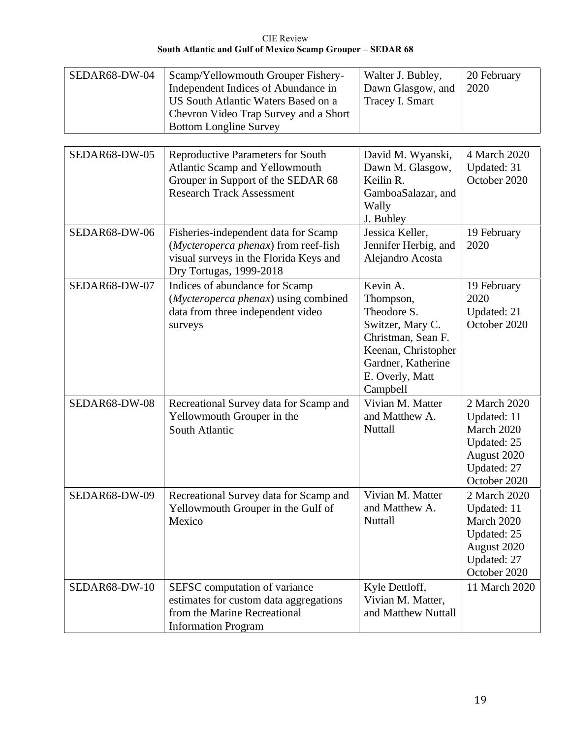| SEDAR68-DW-04 | Scamp/Yellowmouth Grouper Fishery-<br>Independent Indices of Abundance in<br>US South Atlantic Waters Based on a<br>Chevron Video Trap Survey and a Short<br><b>Bottom Longline Survey</b> | Walter J. Bubley,<br>Dawn Glasgow, and<br>Tracey I. Smart                                                                                                  | 20 February<br>2020                                                                                    |
|---------------|--------------------------------------------------------------------------------------------------------------------------------------------------------------------------------------------|------------------------------------------------------------------------------------------------------------------------------------------------------------|--------------------------------------------------------------------------------------------------------|
| SEDAR68-DW-05 | <b>Reproductive Parameters for South</b><br>Atlantic Scamp and Yellowmouth<br>Grouper in Support of the SEDAR 68<br><b>Research Track Assessment</b>                                       | David M. Wyanski,<br>Dawn M. Glasgow,<br>Keilin R.<br>GamboaSalazar, and<br>Wally<br>J. Bubley                                                             | 4 March 2020<br>Updated: 31<br>October 2020                                                            |
| SEDAR68-DW-06 | Fisheries-independent data for Scamp<br>(Mycteroperca phenax) from reef-fish<br>visual surveys in the Florida Keys and<br>Dry Tortugas, 1999-2018                                          | Jessica Keller,<br>Jennifer Herbig, and<br>Alejandro Acosta                                                                                                | 19 February<br>2020                                                                                    |
| SEDAR68-DW-07 | Indices of abundance for Scamp<br>(Mycteroperca phenax) using combined<br>data from three independent video<br>surveys                                                                     | Kevin A.<br>Thompson,<br>Theodore S.<br>Switzer, Mary C.<br>Christman, Sean F.<br>Keenan, Christopher<br>Gardner, Katherine<br>E. Overly, Matt<br>Campbell | 19 February<br>2020<br>Updated: 21<br>October 2020                                                     |
| SEDAR68-DW-08 | Recreational Survey data for Scamp and<br>Yellowmouth Grouper in the<br>South Atlantic                                                                                                     | Vivian M. Matter<br>and Matthew A.<br>Nuttall                                                                                                              | 2 March 2020<br>Updated: 11<br>March 2020<br>Updated: 25<br>August 2020<br>Updated: 27<br>October 2020 |
| SEDAR68-DW-09 | Recreational Survey data for Scamp and<br>Yellowmouth Grouper in the Gulf of<br>Mexico                                                                                                     | Vivian M. Matter<br>and Matthew A.<br>Nuttall                                                                                                              | 2 March 2020<br>Updated: 11<br>March 2020<br>Updated: 25<br>August 2020<br>Updated: 27<br>October 2020 |
| SEDAR68-DW-10 | SEFSC computation of variance<br>estimates for custom data aggregations<br>from the Marine Recreational<br><b>Information Program</b>                                                      | Kyle Dettloff,<br>Vivian M. Matter,<br>and Matthew Nuttall                                                                                                 | 11 March 2020                                                                                          |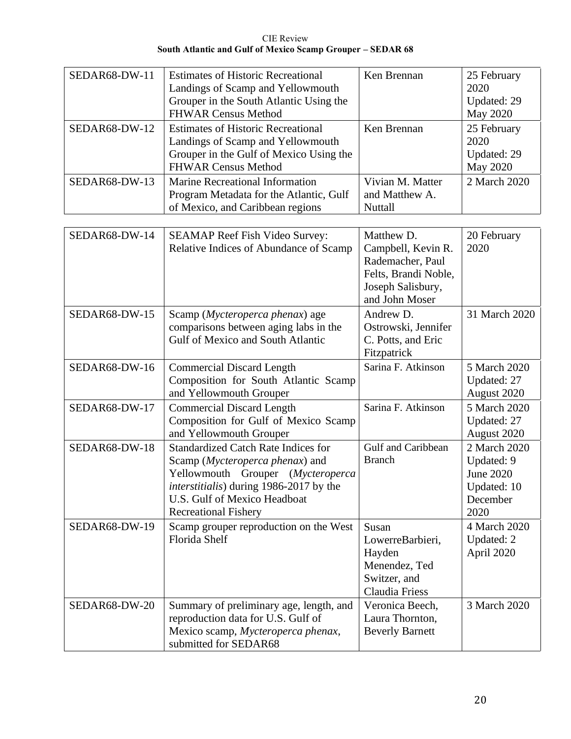CIE Review **South Atlantic and Gulf of Mexico Scamp Grouper – SEDAR 68**

| SEDAR68-DW-11<br>SEDAR68-DW-12 | <b>Estimates of Historic Recreational</b><br>Landings of Scamp and Yellowmouth<br>Grouper in the South Atlantic Using the<br><b>FHWAR Census Method</b><br><b>Estimates of Historic Recreational</b>                         | Ken Brennan<br>Ken Brennan                                                                                          | 25 February<br>2020<br>Updated: 29<br>May 2020<br>25 February                     |
|--------------------------------|------------------------------------------------------------------------------------------------------------------------------------------------------------------------------------------------------------------------------|---------------------------------------------------------------------------------------------------------------------|-----------------------------------------------------------------------------------|
|                                | Landings of Scamp and Yellowmouth<br>Grouper in the Gulf of Mexico Using the<br><b>FHWAR Census Method</b>                                                                                                                   |                                                                                                                     | 2020<br>Updated: 29<br><b>May 2020</b>                                            |
| SEDAR68-DW-13                  | Marine Recreational Information<br>Program Metadata for the Atlantic, Gulf<br>of Mexico, and Caribbean regions                                                                                                               | Vivian M. Matter<br>and Matthew A.<br>Nuttall                                                                       | 2 March 2020                                                                      |
| SEDAR68-DW-14                  | <b>SEAMAP Reef Fish Video Survey:</b><br>Relative Indices of Abundance of Scamp                                                                                                                                              | Matthew D.<br>Campbell, Kevin R.<br>Rademacher, Paul<br>Felts, Brandi Noble,<br>Joseph Salisbury,<br>and John Moser | 20 February<br>2020                                                               |
| SEDAR68-DW-15                  | Scamp (Mycteroperca phenax) age<br>comparisons between aging labs in the<br>Gulf of Mexico and South Atlantic                                                                                                                | Andrew D.<br>Ostrowski, Jennifer<br>C. Potts, and Eric<br>Fitzpatrick                                               | 31 March 2020                                                                     |
| SEDAR68-DW-16                  | <b>Commercial Discard Length</b><br>Composition for South Atlantic Scamp<br>and Yellowmouth Grouper                                                                                                                          | Sarina F. Atkinson                                                                                                  | 5 March 2020<br>Updated: 27<br>August 2020                                        |
| SEDAR68-DW-17                  | <b>Commercial Discard Length</b><br>Composition for Gulf of Mexico Scamp<br>and Yellowmouth Grouper                                                                                                                          | Sarina F. Atkinson                                                                                                  | 5 March 2020<br>Updated: 27<br>August 2020                                        |
| SEDAR68-DW-18                  | <b>Standardized Catch Rate Indices for</b><br>Scamp (Mycteroperca phenax) and<br>Yellowmouth Grouper (Mycteroperca<br>interstitialis) during 1986-2017 by the<br>U.S. Gulf of Mexico Headboat<br><b>Recreational Fishery</b> | Gulf and Caribbean<br><b>Branch</b>                                                                                 | 2 March 2020<br>Updated: 9<br><b>June 2020</b><br>Updated: 10<br>December<br>2020 |
| SEDAR68-DW-19                  | Scamp grouper reproduction on the West<br>Florida Shelf                                                                                                                                                                      | Susan<br>LowerreBarbieri,<br>Hayden<br>Menendez, Ted<br>Switzer, and<br>Claudia Friess                              | 4 March 2020<br>Updated: 2<br>April 2020                                          |
| SEDAR68-DW-20                  | Summary of preliminary age, length, and<br>reproduction data for U.S. Gulf of<br>Mexico scamp, Mycteroperca phenax,<br>submitted for SEDAR68                                                                                 | Veronica Beech,<br>Laura Thornton,<br><b>Beverly Barnett</b>                                                        | 3 March 2020                                                                      |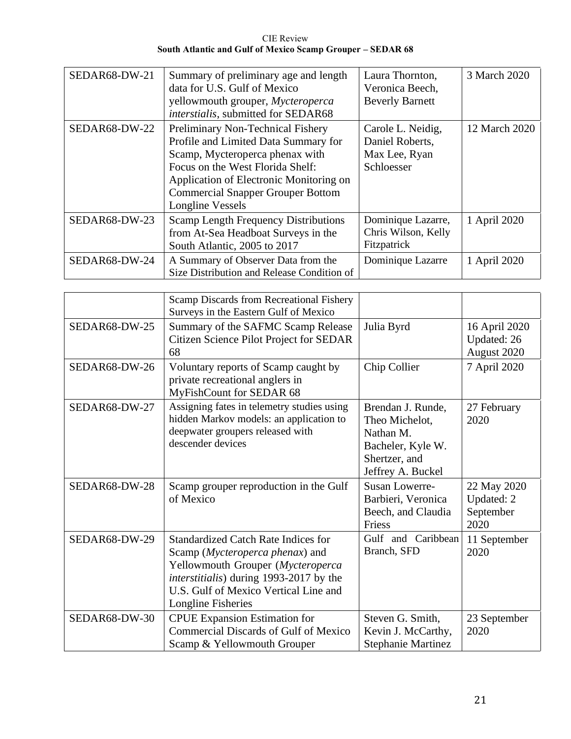| <b>CIE Review</b>                                          |  |
|------------------------------------------------------------|--|
| South Atlantic and Gulf of Mexico Scamp Grouper – SEDAR 68 |  |

| SEDAR68-DW-21 | Summary of preliminary age and length<br>data for U.S. Gulf of Mexico<br>yellowmouth grouper, Mycteroperca<br>interstialis, submitted for SEDAR68                                                                                                           | Laura Thornton,<br>Veronica Beech,<br><b>Beverly Barnett</b>        | 3 March 2020  |
|---------------|-------------------------------------------------------------------------------------------------------------------------------------------------------------------------------------------------------------------------------------------------------------|---------------------------------------------------------------------|---------------|
| SEDAR68-DW-22 | Preliminary Non-Technical Fishery<br>Profile and Limited Data Summary for<br>Scamp, Mycteroperca phenax with<br>Focus on the West Florida Shelf:<br>Application of Electronic Monitoring on<br><b>Commercial Snapper Grouper Bottom</b><br>Longline Vessels | Carole L. Neidig,<br>Daniel Roberts,<br>Max Lee, Ryan<br>Schloesser | 12 March 2020 |
| SEDAR68-DW-23 | <b>Scamp Length Frequency Distributions</b><br>from At-Sea Headboat Surveys in the<br>South Atlantic, 2005 to 2017                                                                                                                                          | Dominique Lazarre,<br>Chris Wilson, Kelly<br>Fitzpatrick            | 1 April 2020  |
| SEDAR68-DW-24 | A Summary of Observer Data from the<br>Size Distribution and Release Condition of                                                                                                                                                                           | Dominique Lazarre                                                   | 1 April 2020  |

|               | Scamp Discards from Recreational Fishery<br>Surveys in the Eastern Gulf of Mexico                                                                                                                                                    |                                                                                                             |                                                |
|---------------|--------------------------------------------------------------------------------------------------------------------------------------------------------------------------------------------------------------------------------------|-------------------------------------------------------------------------------------------------------------|------------------------------------------------|
| SEDAR68-DW-25 | Summary of the SAFMC Scamp Release<br>Citizen Science Pilot Project for SEDAR<br>68                                                                                                                                                  | Julia Byrd                                                                                                  | 16 April 2020<br>Updated: 26<br>August 2020    |
| SEDAR68-DW-26 | Voluntary reports of Scamp caught by<br>private recreational anglers in<br>MyFishCount for SEDAR 68                                                                                                                                  | Chip Collier                                                                                                | 7 April 2020                                   |
| SEDAR68-DW-27 | Assigning fates in telemetry studies using<br>hidden Markov models: an application to<br>deepwater groupers released with<br>descender devices                                                                                       | Brendan J. Runde,<br>Theo Michelot.<br>Nathan M.<br>Bacheler, Kyle W.<br>Shertzer, and<br>Jeffrey A. Buckel | 27 February<br>2020                            |
| SEDAR68-DW-28 | Scamp grouper reproduction in the Gulf<br>of Mexico                                                                                                                                                                                  | <b>Susan Lowerre-</b><br>Barbieri, Veronica<br>Beech, and Claudia<br>Friess                                 | 22 May 2020<br>Updated: 2<br>September<br>2020 |
| SEDAR68-DW-29 | <b>Standardized Catch Rate Indices for</b><br>Scamp (Mycteroperca phenax) and<br>Yellowmouth Grouper (Mycteroperca<br><i>interstitialis</i> ) during 1993-2017 by the<br>U.S. Gulf of Mexico Vertical Line and<br>Longline Fisheries | Gulf and Caribbean<br>Branch, SFD                                                                           | 11 September<br>2020                           |
| SEDAR68-DW-30 | <b>CPUE</b> Expansion Estimation for<br><b>Commercial Discards of Gulf of Mexico</b><br>Scamp & Yellowmouth Grouper                                                                                                                  | Steven G. Smith,<br>Kevin J. McCarthy,<br><b>Stephanie Martinez</b>                                         | 23 September<br>2020                           |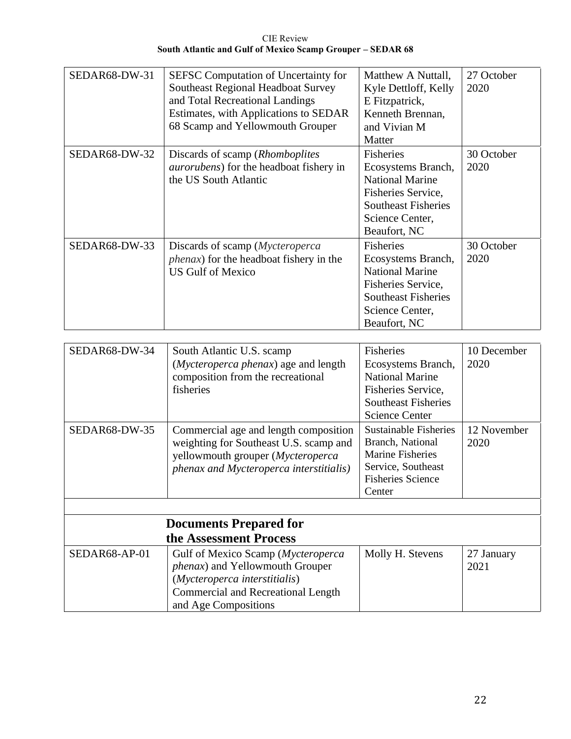| SEDAR68-DW-31 | SEFSC Computation of Uncertainty for<br>Southeast Regional Headboat Survey<br>and Total Recreational Landings<br>Estimates, with Applications to SEDAR<br>68 Scamp and Yellowmouth Grouper | Matthew A Nuttall,<br>Kyle Dettloff, Kelly<br>E Fitzpatrick,<br>Kenneth Brennan,<br>and Vivian M<br>Matter                                              | 27 October<br>2020 |
|---------------|--------------------------------------------------------------------------------------------------------------------------------------------------------------------------------------------|---------------------------------------------------------------------------------------------------------------------------------------------------------|--------------------|
| SEDAR68-DW-32 | Discards of scamp ( <i>Rhomboplites</i> )<br><i>aurorubens</i> ) for the headboat fishery in<br>the US South Atlantic                                                                      | Fisheries<br>Ecosystems Branch,<br><b>National Marine</b><br>Fisheries Service,<br><b>Southeast Fisheries</b><br>Science Center,<br>Beaufort, NC        | 30 October<br>2020 |
| SEDAR68-DW-33 | Discards of scamp ( <i>Mycteroperca</i><br><i>phenax</i> ) for the headboat fishery in the<br><b>US Gulf of Mexico</b>                                                                     | <b>Fisheries</b><br>Ecosystems Branch,<br><b>National Marine</b><br>Fisheries Service,<br><b>Southeast Fisheries</b><br>Science Center,<br>Beaufort, NC | 30 October<br>2020 |

| SEDAR68-DW-34 | South Atlantic U.S. scamp<br>(Mycteroperca phenax) age and length<br>composition from the recreational<br>fisheries                                                         | <b>Fisheries</b><br>Ecosystems Branch,<br><b>National Marine</b><br>Fisheries Service,<br><b>Southeast Fisheries</b><br><b>Science Center</b> | 10 December<br>2020 |
|---------------|-----------------------------------------------------------------------------------------------------------------------------------------------------------------------------|-----------------------------------------------------------------------------------------------------------------------------------------------|---------------------|
| SEDAR68-DW-35 | Commercial age and length composition<br>weighting for Southeast U.S. scamp and<br>yellowmouth grouper (Mycteroperca<br>phenax and Mycteroperca interstitialis)             | <b>Sustainable Fisheries</b><br>Branch, National<br><b>Marine Fisheries</b><br>Service, Southeast<br><b>Fisheries Science</b><br>Center       | 12 November<br>2020 |
|               |                                                                                                                                                                             |                                                                                                                                               |                     |
|               | <b>Documents Prepared for</b>                                                                                                                                               |                                                                                                                                               |                     |
|               | the Assessment Process                                                                                                                                                      |                                                                                                                                               |                     |
| SEDAR68-AP-01 | Gulf of Mexico Scamp (Mycteroperca<br>phenax) and Yellowmouth Grouper<br>(Mycteroperca interstitialis)<br><b>Commercial and Recreational Length</b><br>and Age Compositions | Molly H. Stevens                                                                                                                              | 27 January<br>2021  |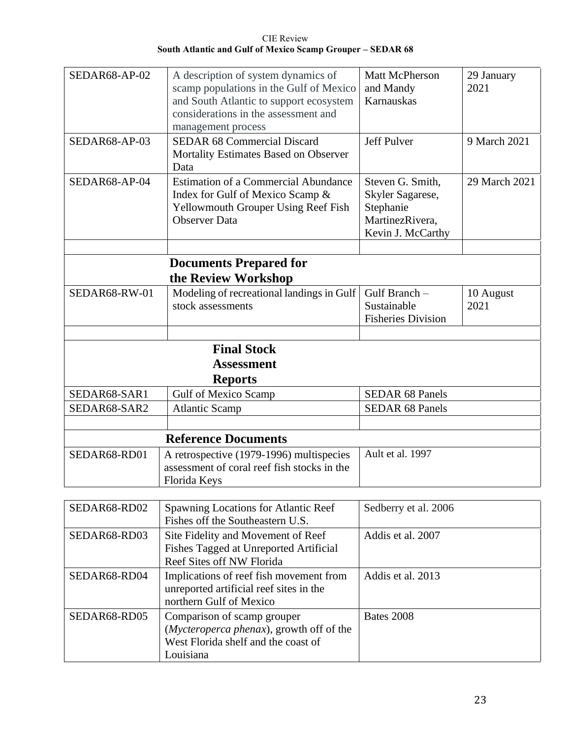| SEDAR68-AP-02 | A description of system dynamics of<br>scamp populations in the Gulf of Mexico<br>and South Atlantic to support ecosystem<br>considerations in the assessment and<br>management process | <b>Matt McPherson</b><br>and Mandy<br>Karnauskas                                          | 29 January<br>2021 |
|---------------|-----------------------------------------------------------------------------------------------------------------------------------------------------------------------------------------|-------------------------------------------------------------------------------------------|--------------------|
| SEDAR68-AP-03 | <b>SEDAR 68 Commercial Discard</b><br>Mortality Estimates Based on Observer<br>Data                                                                                                     | Jeff Pulver                                                                               | 9 March 2021       |
| SEDAR68-AP-04 | <b>Estimation of a Commercial Abundance</b><br>Index for Gulf of Mexico Scamp &<br>Yellowmouth Grouper Using Reef Fish<br><b>Observer Data</b>                                          | Steven G. Smith,<br>Skyler Sagarese,<br>Stephanie<br>MartinezRivera,<br>Kevin J. McCarthy | 29 March 2021      |
|               |                                                                                                                                                                                         |                                                                                           |                    |
|               | <b>Documents Prepared for</b><br>the Review Workshop                                                                                                                                    |                                                                                           |                    |
| SEDAR68-RW-01 | Modeling of recreational landings in Gulf<br>stock assessments                                                                                                                          | Gulf Branch -<br>Sustainable<br><b>Fisheries Division</b>                                 | 10 August<br>2021  |
|               |                                                                                                                                                                                         |                                                                                           |                    |
|               | <b>Final Stock</b><br><b>Assessment</b>                                                                                                                                                 |                                                                                           |                    |
|               | <b>Reports</b>                                                                                                                                                                          |                                                                                           |                    |
| SEDAR68-SAR1  | <b>Gulf of Mexico Scamp</b>                                                                                                                                                             | <b>SEDAR 68 Panels</b>                                                                    |                    |
| SEDAR68-SAR2  | <b>Atlantic Scamp</b>                                                                                                                                                                   | <b>SEDAR 68 Panels</b>                                                                    |                    |
|               |                                                                                                                                                                                         |                                                                                           |                    |
|               | <b>Reference Documents</b>                                                                                                                                                              |                                                                                           |                    |
| SEDAR68-RD01  | A retrospective (1979-1996) multispecies<br>assessment of coral reef fish stocks in the<br>Florida Keys                                                                                 | Ault et al. 1997                                                                          |                    |
|               |                                                                                                                                                                                         |                                                                                           |                    |
| SEDAR68-RD02  | Spawning Locations for Atlantic Reef<br>Fishes off the Southeastern U.S.                                                                                                                | Sedberry et al. 2006                                                                      |                    |
| SEDAR68-RD03  | Site Fidelity and Movement of Reef<br>Fishes Tagged at Unreported Artificial<br>Reef Sites off NW Florida                                                                               | Addis et al. 2007                                                                         |                    |
| SEDAR68-RD04  | Implications of reef fish movement from<br>unreported artificial reef sites in the                                                                                                      | Addis et al. 2013                                                                         |                    |

| SLDANOO-NDO <del>T</del> | Implications of feel had movement from            | Aguis Ul al. $2013$ |
|--------------------------|---------------------------------------------------|---------------------|
|                          | unreported artificial reef sites in the           |                     |
|                          | northern Gulf of Mexico                           |                     |
| SEDAR68-RD05             | Comparison of scamp grouper                       | Bates 2008          |
|                          | ( <i>Mycteroperca phenax</i> ), growth off of the |                     |
|                          | West Florida shelf and the coast of               |                     |
|                          | Louisiana                                         |                     |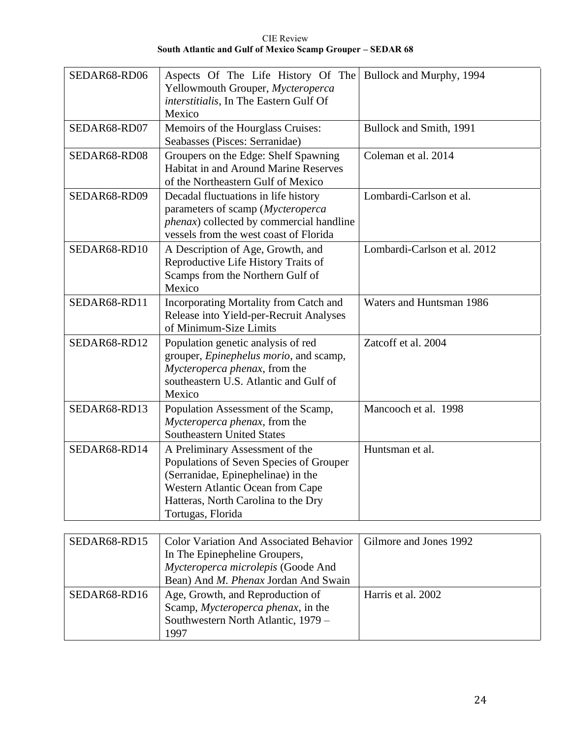| SEDAR68-RD06 | Aspects Of The Life History Of The<br>Yellowmouth Grouper, Mycteroperca<br>interstitialis, In The Eastern Gulf Of<br>Mexico                                                                                      | Bullock and Murphy, 1994     |
|--------------|------------------------------------------------------------------------------------------------------------------------------------------------------------------------------------------------------------------|------------------------------|
| SEDAR68-RD07 | Memoirs of the Hourglass Cruises:<br>Seabasses (Pisces: Serranidae)                                                                                                                                              | Bullock and Smith, 1991      |
| SEDAR68-RD08 | Groupers on the Edge: Shelf Spawning<br>Habitat in and Around Marine Reserves<br>of the Northeastern Gulf of Mexico                                                                                              | Coleman et al. 2014          |
| SEDAR68-RD09 | Decadal fluctuations in life history<br>parameters of scamp (Mycteroperca<br>phenax) collected by commercial handline<br>vessels from the west coast of Florida                                                  | Lombardi-Carlson et al.      |
| SEDAR68-RD10 | A Description of Age, Growth, and<br>Reproductive Life History Traits of<br>Scamps from the Northern Gulf of<br>Mexico                                                                                           | Lombardi-Carlson et al. 2012 |
| SEDAR68-RD11 | Incorporating Mortality from Catch and<br>Release into Yield-per-Recruit Analyses<br>of Minimum-Size Limits                                                                                                      | Waters and Huntsman 1986     |
| SEDAR68-RD12 | Population genetic analysis of red<br>grouper, <i>Epinephelus morio</i> , and scamp,<br>Mycteroperca phenax, from the<br>southeastern U.S. Atlantic and Gulf of<br>Mexico                                        | Zatcoff et al. 2004          |
| SEDAR68-RD13 | Population Assessment of the Scamp,<br>Mycteroperca phenax, from the<br><b>Southeastern United States</b>                                                                                                        | Mancooch et al. 1998         |
| SEDAR68-RD14 | A Preliminary Assessment of the<br>Populations of Seven Species of Grouper<br>(Serranidae, Epinephelinae) in the<br>Western Atlantic Ocean from Cape<br>Hatteras, North Carolina to the Dry<br>Tortugas, Florida | Huntsman et al.              |

| SEDAR68-RD15 | <b>Color Variation And Associated Behavior</b> | Gilmore and Jones 1992 |
|--------------|------------------------------------------------|------------------------|
|              | In The Epinepheline Groupers,                  |                        |
|              | Mycteroperca microlepis (Goode And             |                        |
|              | Bean) And <i>M. Phenax</i> Jordan And Swain    |                        |
| SEDAR68-RD16 | Age, Growth, and Reproduction of               | Harris et al. 2002     |
|              | Scamp, Mycteroperca phenax, in the             |                        |
|              | Southwestern North Atlantic, 1979 -            |                        |
|              | 1997                                           |                        |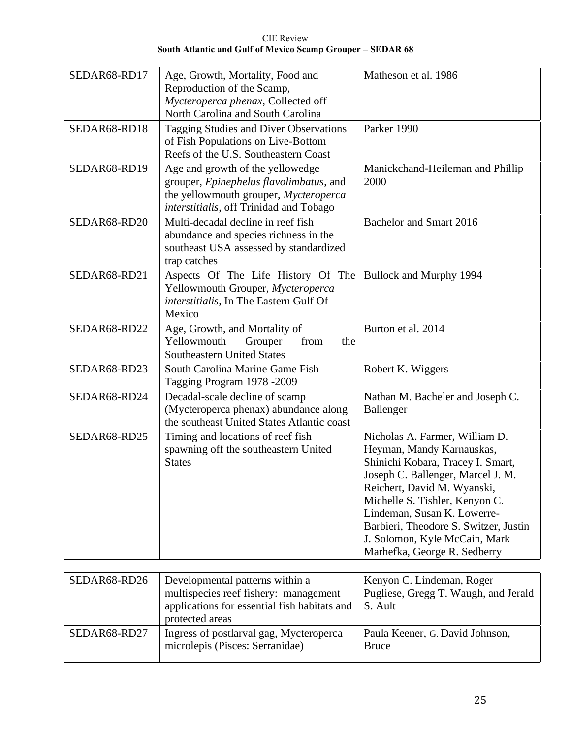| <b>CIE</b> Review                                          |
|------------------------------------------------------------|
| South Atlantic and Gulf of Mexico Scamp Grouper – SEDAR 68 |

| SEDAR68-RD17 | Age, Growth, Mortality, Food and<br>Reproduction of the Scamp,<br>Mycteroperca phenax, Collected off                                                            | Matheson et al. 1986                                                                                                                                                                                                                                                                                                                            |  |
|--------------|-----------------------------------------------------------------------------------------------------------------------------------------------------------------|-------------------------------------------------------------------------------------------------------------------------------------------------------------------------------------------------------------------------------------------------------------------------------------------------------------------------------------------------|--|
| SEDAR68-RD18 | North Carolina and South Carolina<br>Tagging Studies and Diver Observations<br>of Fish Populations on Live-Bottom<br>Reefs of the U.S. Southeastern Coast       | Parker 1990                                                                                                                                                                                                                                                                                                                                     |  |
| SEDAR68-RD19 | Age and growth of the yellowedge<br>grouper, Epinephelus flavolimbatus, and<br>the yellowmouth grouper, Mycteroperca<br>interstitialis, off Trinidad and Tobago | Manickchand-Heileman and Phillip<br>2000                                                                                                                                                                                                                                                                                                        |  |
| SEDAR68-RD20 | Multi-decadal decline in reef fish<br>abundance and species richness in the<br>southeast USA assessed by standardized<br>trap catches                           | Bachelor and Smart 2016                                                                                                                                                                                                                                                                                                                         |  |
| SEDAR68-RD21 | Aspects Of The Life History Of The<br>Yellowmouth Grouper, Mycteroperca<br>interstitialis, In The Eastern Gulf Of<br>Mexico                                     | Bullock and Murphy 1994                                                                                                                                                                                                                                                                                                                         |  |
| SEDAR68-RD22 | Age, Growth, and Mortality of<br>Yellowmouth<br>Grouper<br>from<br>the<br><b>Southeastern United States</b>                                                     | Burton et al. 2014                                                                                                                                                                                                                                                                                                                              |  |
| SEDAR68-RD23 | South Carolina Marine Game Fish<br>Tagging Program 1978 -2009                                                                                                   | Robert K. Wiggers                                                                                                                                                                                                                                                                                                                               |  |
| SEDAR68-RD24 | Decadal-scale decline of scamp<br>(Mycteroperca phenax) abundance along<br>the southeast United States Atlantic coast                                           | Nathan M. Bacheler and Joseph C.<br>Ballenger                                                                                                                                                                                                                                                                                                   |  |
| SEDAR68-RD25 | Timing and locations of reef fish<br>spawning off the southeastern United<br><b>States</b>                                                                      | Nicholas A. Farmer, William D.<br>Heyman, Mandy Karnauskas,<br>Shinichi Kobara, Tracey I. Smart,<br>Joseph C. Ballenger, Marcel J. M.<br>Reichert, David M. Wyanski,<br>Michelle S. Tishler, Kenyon C.<br>Lindeman, Susan K. Lowerre-<br>Barbieri, Theodore S. Switzer, Justin<br>J. Solomon, Kyle McCain, Mark<br>Marhefka, George R. Sedberry |  |
|              |                                                                                                                                                                 |                                                                                                                                                                                                                                                                                                                                                 |  |
| SEDAR68-RD26 | Developmental patterns within a<br>multispecies reef fishery: management<br>applications for essential fish habitats and<br>protected areas                     | Kenyon C. Lindeman, Roger<br>Pugliese, Gregg T. Waugh, and Jerald<br>S. Ault                                                                                                                                                                                                                                                                    |  |
| SEDAR68-RD27 | Ingress of postlarval gag, Mycteroperca                                                                                                                         | Paula Keener, G. David Johnson,                                                                                                                                                                                                                                                                                                                 |  |

microlepis (Pisces: Serranidae)

Bruce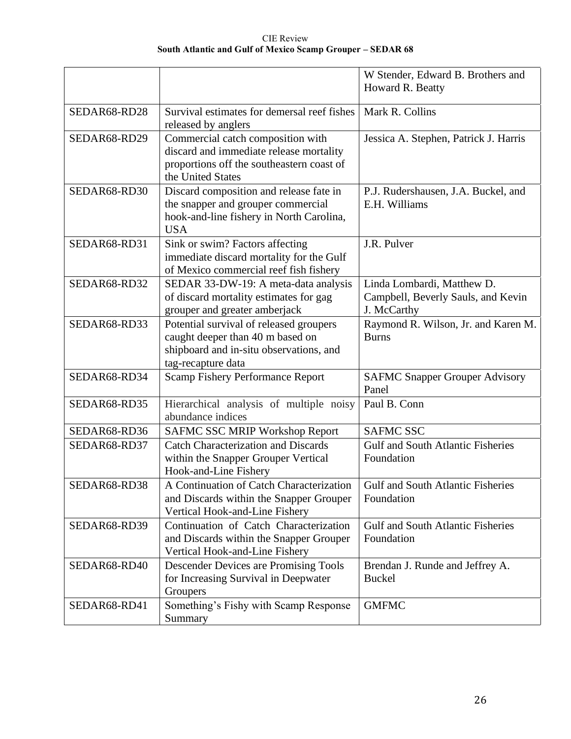CIE Review **South Atlantic and Gulf of Mexico Scamp Grouper – SEDAR 68**

|              |                                                                                                                                                | W Stender, Edward B. Brothers and<br>Howard R. Beatty                           |  |
|--------------|------------------------------------------------------------------------------------------------------------------------------------------------|---------------------------------------------------------------------------------|--|
| SEDAR68-RD28 | Survival estimates for demersal reef fishes<br>released by anglers                                                                             | Mark R. Collins                                                                 |  |
| SEDAR68-RD29 | Commercial catch composition with<br>discard and immediate release mortality<br>proportions off the southeastern coast of<br>the United States | Jessica A. Stephen, Patrick J. Harris                                           |  |
| SEDAR68-RD30 | Discard composition and release fate in<br>the snapper and grouper commercial<br>hook-and-line fishery in North Carolina,<br><b>USA</b>        | P.J. Rudershausen, J.A. Buckel, and<br>E.H. Williams                            |  |
| SEDAR68-RD31 | Sink or swim? Factors affecting<br>immediate discard mortality for the Gulf<br>of Mexico commercial reef fish fishery                          | J.R. Pulver                                                                     |  |
| SEDAR68-RD32 | SEDAR 33-DW-19: A meta-data analysis<br>of discard mortality estimates for gag<br>grouper and greater amberjack                                | Linda Lombardi, Matthew D.<br>Campbell, Beverly Sauls, and Kevin<br>J. McCarthy |  |
| SEDAR68-RD33 | Potential survival of released groupers<br>caught deeper than 40 m based on<br>shipboard and in-situ observations, and<br>tag-recapture data   | Raymond R. Wilson, Jr. and Karen M.<br><b>Burns</b>                             |  |
| SEDAR68-RD34 | <b>Scamp Fishery Performance Report</b>                                                                                                        | <b>SAFMC Snapper Grouper Advisory</b><br>Panel                                  |  |
| SEDAR68-RD35 | Hierarchical analysis of multiple noisy<br>abundance indices                                                                                   | Paul B. Conn                                                                    |  |
| SEDAR68-RD36 | <b>SAFMC SSC MRIP Workshop Report</b>                                                                                                          | <b>SAFMC SSC</b>                                                                |  |
| SEDAR68-RD37 | <b>Catch Characterization and Discards</b><br>within the Snapper Grouper Vertical<br>Hook-and-Line Fishery                                     | <b>Gulf and South Atlantic Fisheries</b><br>Foundation                          |  |
| SEDAR68-RD38 | A Continuation of Catch Characterization<br>and Discards within the Snapper Grouper<br>Vertical Hook-and-Line Fishery                          | Gulf and South Atlantic Fisheries<br>Foundation                                 |  |
| SEDAR68-RD39 | Continuation of Catch Characterization<br>and Discards within the Snapper Grouper<br>Vertical Hook-and-Line Fishery                            | <b>Gulf and South Atlantic Fisheries</b><br>Foundation                          |  |
| SEDAR68-RD40 | <b>Descender Devices are Promising Tools</b><br>for Increasing Survival in Deepwater<br>Groupers                                               | Brendan J. Runde and Jeffrey A.<br><b>Buckel</b>                                |  |
| SEDAR68-RD41 | Something's Fishy with Scamp Response<br>Summary                                                                                               | <b>GMFMC</b>                                                                    |  |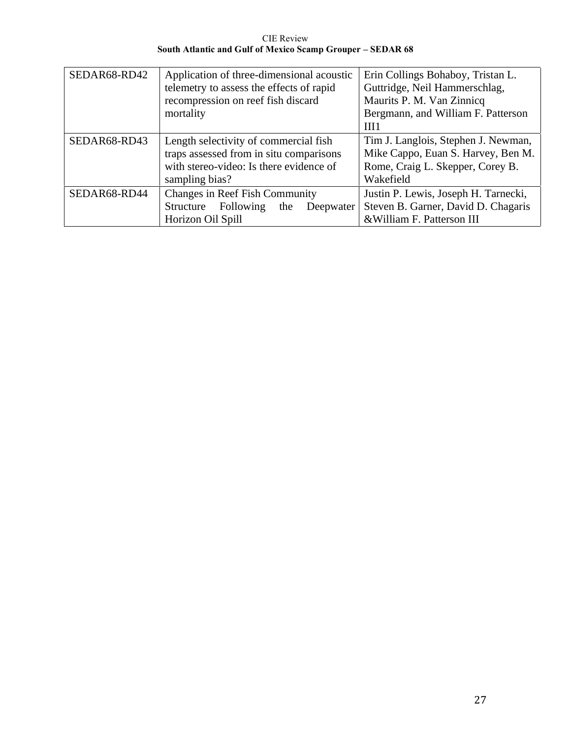CIE Review **South Atlantic and Gulf of Mexico Scamp Grouper – SEDAR 68**

| SEDAR68-RD42 | Application of three-dimensional acoustic<br>telemetry to assess the effects of rapid<br>recompression on reef fish discard<br>mortality      | Erin Collings Bohaboy, Tristan L.<br>Guttridge, Neil Hammerschlag,<br>Maurits P. M. Van Zinnicq<br>Bergmann, and William F. Patterson<br>III1 |
|--------------|-----------------------------------------------------------------------------------------------------------------------------------------------|-----------------------------------------------------------------------------------------------------------------------------------------------|
| SEDAR68-RD43 | Length selectivity of commercial fish<br>traps assessed from in situ comparisons<br>with stereo-video: Is there evidence of<br>sampling bias? | Tim J. Langlois, Stephen J. Newman,<br>Mike Cappo, Euan S. Harvey, Ben M.<br>Rome, Craig L. Skepper, Corey B.<br>Wakefield                    |
| SEDAR68-RD44 | <b>Changes in Reef Fish Community</b><br>Structure Following<br>the<br>Deepwater<br>Horizon Oil Spill                                         | Justin P. Lewis, Joseph H. Tarnecki,<br>Steven B. Garner, David D. Chagaris<br>& William F. Patterson III                                     |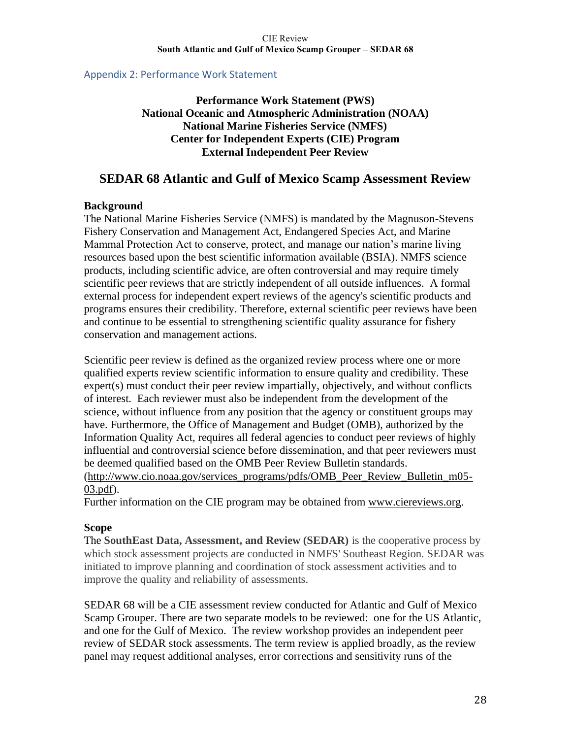### Appendix 2: Performance Work Statement

**Performance Work Statement (PWS) National Oceanic and Atmospheric Administration (NOAA) National Marine Fisheries Service (NMFS) Center for Independent Experts (CIE) Program External Independent Peer Review**

# **SEDAR 68 Atlantic and Gulf of Mexico Scamp Assessment Review**

# **Background**

The National Marine Fisheries Service (NMFS) is mandated by the Magnuson-Stevens Fishery Conservation and Management Act, Endangered Species Act, and Marine Mammal Protection Act to conserve, protect, and manage our nation's marine living resources based upon the best scientific information available (BSIA). NMFS science products, including scientific advice, are often controversial and may require timely scientific peer reviews that are strictly independent of all outside influences. A formal external process for independent expert reviews of the agency's scientific products and programs ensures their credibility. Therefore, external scientific peer reviews have been and continue to be essential to strengthening scientific quality assurance for fishery conservation and management actions.

Scientific peer review is defined as the organized review process where one or more qualified experts review scientific information to ensure quality and credibility. These expert(s) must conduct their peer review impartially, objectively, and without conflicts of interest. Each reviewer must also be independent from the development of the science, without influence from any position that the agency or constituent groups may have. Furthermore, the Office of Management and Budget (OMB), authorized by the Information Quality Act, requires all federal agencies to conduct peer reviews of highly influential and controversial science before dissemination, and that peer reviewers must be deemed qualified based on the OMB Peer Review Bulletin standards.

[\(http://www.cio.noaa.gov/services\\_programs/pdfs/OMB\\_Peer\\_Review\\_Bulletin\\_m05-](http://www.cio.noaa.gov/services_programs/pdfs/OMB_Peer_Review_Bulletin_m05-03.pdf) [03.pdf\)](http://www.cio.noaa.gov/services_programs/pdfs/OMB_Peer_Review_Bulletin_m05-03.pdf).

Further information on the CIE program may be obtained from [www.ciereviews.org.](http://www.ciereviews.com/)

### **Scope**

The **SouthEast Data, Assessment, and Review (SEDAR)** is the cooperative process by which stock assessment projects are conducted in NMFS' Southeast Region. SEDAR was initiated to improve planning and coordination of stock assessment activities and to improve the quality and reliability of assessments.

SEDAR 68 will be a CIE assessment review conducted for Atlantic and Gulf of Mexico Scamp Grouper. There are two separate models to be reviewed: one for the US Atlantic, and one for the Gulf of Mexico. The review workshop provides an independent peer review of SEDAR stock assessments. The term review is applied broadly, as the review panel may request additional analyses, error corrections and sensitivity runs of the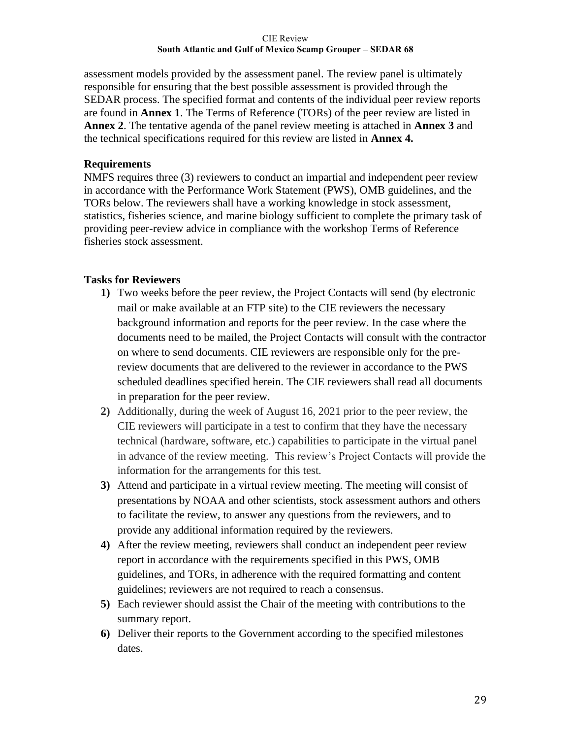assessment models provided by the assessment panel. The review panel is ultimately responsible for ensuring that the best possible assessment is provided through the SEDAR process. The specified format and contents of the individual peer review reports are found in **Annex 1**. The Terms of Reference (TORs) of the peer review are listed in **Annex 2**. The tentative agenda of the panel review meeting is attached in **Annex 3** and the technical specifications required for this review are listed in **Annex 4.**

# **Requirements**

NMFS requires three (3) reviewers to conduct an impartial and independent peer review in accordance with the Performance Work Statement (PWS), OMB guidelines, and the TORs below. The reviewers shall have a working knowledge in stock assessment, statistics, fisheries science, and marine biology sufficient to complete the primary task of providing peer-review advice in compliance with the workshop Terms of Reference fisheries stock assessment.

# **Tasks for Reviewers**

- **1)** Two weeks before the peer review, the Project Contacts will send (by electronic mail or make available at an FTP site) to the CIE reviewers the necessary background information and reports for the peer review. In the case where the documents need to be mailed, the Project Contacts will consult with the contractor on where to send documents. CIE reviewers are responsible only for the prereview documents that are delivered to the reviewer in accordance to the PWS scheduled deadlines specified herein. The CIE reviewers shall read all documents in preparation for the peer review.
- **2)** Additionally, during the week of August 16, 2021 prior to the peer review, the CIE reviewers will participate in a test to confirm that they have the necessary technical (hardware, software, etc.) capabilities to participate in the virtual panel in advance of the review meeting. This review's Project Contacts will provide the information for the arrangements for this test.
- **3)** Attend and participate in a virtual review meeting. The meeting will consist of presentations by NOAA and other scientists, stock assessment authors and others to facilitate the review, to answer any questions from the reviewers, and to provide any additional information required by the reviewers.
- **4)** After the review meeting, reviewers shall conduct an independent peer review report in accordance with the requirements specified in this PWS, OMB guidelines, and TORs, in adherence with the required formatting and content guidelines; reviewers are not required to reach a consensus.
- **5)** Each reviewer should assist the Chair of the meeting with contributions to the summary report.
- **6)** Deliver their reports to the Government according to the specified milestones dates.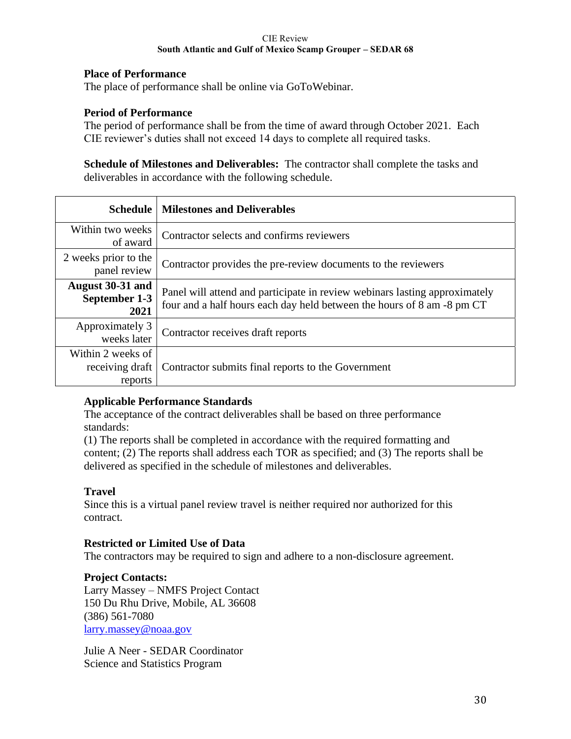# **Place of Performance**

The place of performance shall be online via GoToWebinar.

# **Period of Performance**

The period of performance shall be from the time of award through October 2021. Each CIE reviewer's duties shall not exceed 14 days to complete all required tasks.

**Schedule of Milestones and Deliverables:** The contractor shall complete the tasks and deliverables in accordance with the following schedule.

| <b>Schedule</b>                                 | <b>Milestones and Deliverables</b>                                                                                                                   |
|-------------------------------------------------|------------------------------------------------------------------------------------------------------------------------------------------------------|
| Within two weeks<br>of award                    | Contractor selects and confirms reviewers                                                                                                            |
| 2 weeks prior to the<br>panel review            | Contractor provides the pre-review documents to the reviewers                                                                                        |
| August 30-31 and<br>September 1-3<br>2021       | Panel will attend and participate in review webinars lasting approximately<br>four and a half hours each day held between the hours of 8 am -8 pm CT |
| Approximately 3<br>weeks later                  | Contractor receives draft reports                                                                                                                    |
| Within 2 weeks of<br>receiving draft<br>reports | Contractor submits final reports to the Government                                                                                                   |

### **Applicable Performance Standards**

The acceptance of the contract deliverables shall be based on three performance standards:

(1) The reports shall be completed in accordance with the required formatting and content; (2) The reports shall address each TOR as specified; and (3) The reports shall be delivered as specified in the schedule of milestones and deliverables.

# **Travel**

Since this is a virtual panel review travel is neither required nor authorized for this contract.

### **Restricted or Limited Use of Data**

The contractors may be required to sign and adhere to a non-disclosure agreement.

### **Project Contacts:**

Larry Massey – NMFS Project Contact 150 Du Rhu Drive, Mobile, AL 36608 (386) 561-7080 [larry.massey@noaa.gov](https://mail.google.com/mail/?view=cm&fs=1&tf=1&to=larry.massey@noaa.gov&su=&body=)

Julie A Neer - SEDAR Coordinator Science and Statistics Program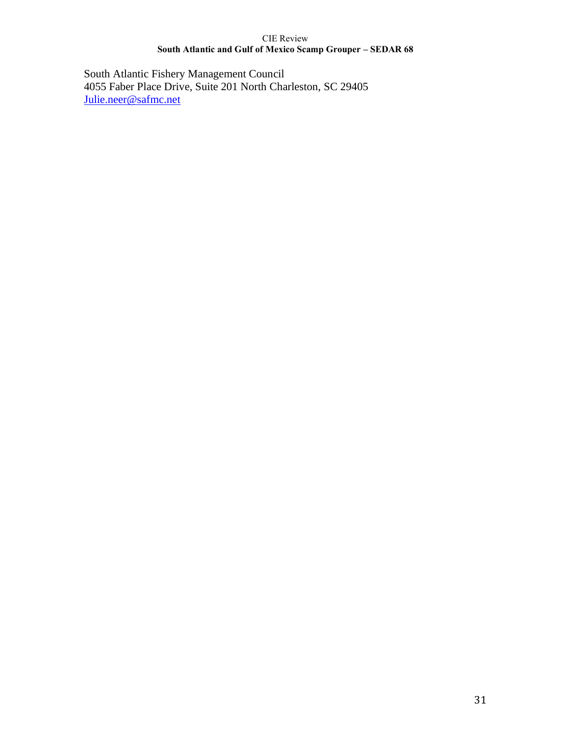South Atlantic Fishery Management Council 4055 Faber Place Drive, Suite 201 North Charleston, SC 29405 [Julie.neer@safmc.net](mailto:Julie.neer@safmc.net)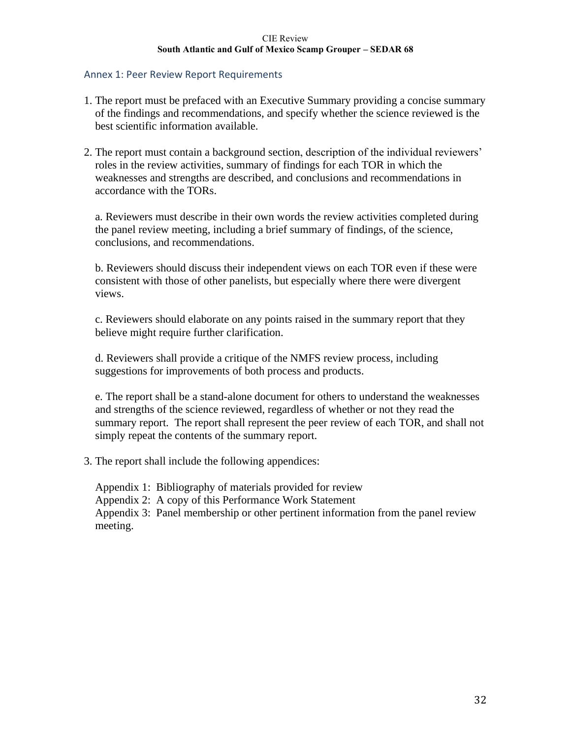### Annex 1: Peer Review Report Requirements

- 1. The report must be prefaced with an Executive Summary providing a concise summary of the findings and recommendations, and specify whether the science reviewed is the best scientific information available.
- 2. The report must contain a background section, description of the individual reviewers' roles in the review activities, summary of findings for each TOR in which the weaknesses and strengths are described, and conclusions and recommendations in accordance with the TORs.

a. Reviewers must describe in their own words the review activities completed during the panel review meeting, including a brief summary of findings, of the science, conclusions, and recommendations.

b. Reviewers should discuss their independent views on each TOR even if these were consistent with those of other panelists, but especially where there were divergent views.

c. Reviewers should elaborate on any points raised in the summary report that they believe might require further clarification.

d. Reviewers shall provide a critique of the NMFS review process, including suggestions for improvements of both process and products.

e. The report shall be a stand-alone document for others to understand the weaknesses and strengths of the science reviewed, regardless of whether or not they read the summary report. The report shall represent the peer review of each TOR, and shall not simply repeat the contents of the summary report.

3. The report shall include the following appendices:

Appendix 1: Bibliography of materials provided for review

Appendix 2: A copy of this Performance Work Statement

Appendix 3: Panel membership or other pertinent information from the panel review meeting.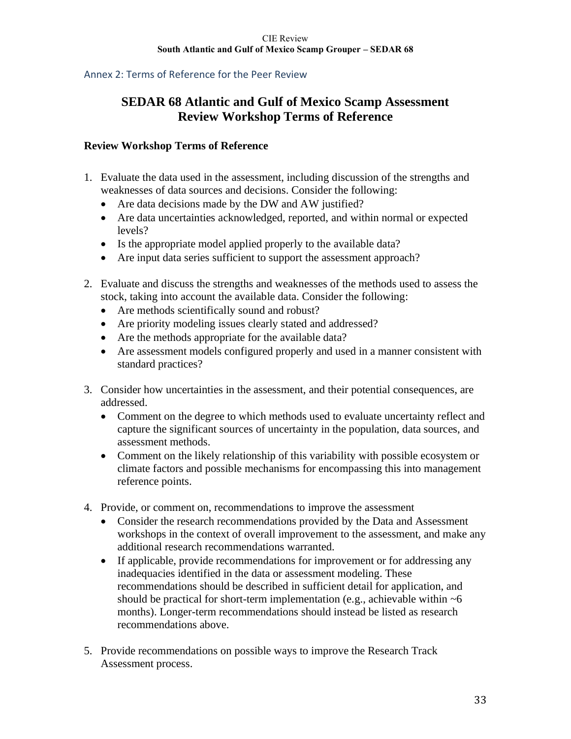# Annex 2: Terms of Reference for the Peer Review

# **SEDAR 68 Atlantic and Gulf of Mexico Scamp Assessment Review Workshop Terms of Reference**

## **Review Workshop Terms of Reference**

- 1. Evaluate the data used in the assessment, including discussion of the strengths and weaknesses of data sources and decisions. Consider the following:
	- Are data decisions made by the DW and AW justified?
	- Are data uncertainties acknowledged, reported, and within normal or expected levels?
	- Is the appropriate model applied properly to the available data?
	- Are input data series sufficient to support the assessment approach?
- 2. Evaluate and discuss the strengths and weaknesses of the methods used to assess the stock, taking into account the available data. Consider the following:
	- Are methods scientifically sound and robust?
	- Are priority modeling issues clearly stated and addressed?
	- Are the methods appropriate for the available data?
	- Are assessment models configured properly and used in a manner consistent with standard practices?
- 3. Consider how uncertainties in the assessment, and their potential consequences, are addressed.
	- Comment on the degree to which methods used to evaluate uncertainty reflect and capture the significant sources of uncertainty in the population, data sources, and assessment methods.
	- Comment on the likely relationship of this variability with possible ecosystem or climate factors and possible mechanisms for encompassing this into management reference points.
- 4. Provide, or comment on, recommendations to improve the assessment
	- Consider the research recommendations provided by the Data and Assessment workshops in the context of overall improvement to the assessment, and make any additional research recommendations warranted.
	- If applicable, provide recommendations for improvement or for addressing any inadequacies identified in the data or assessment modeling. These recommendations should be described in sufficient detail for application, and should be practical for short-term implementation (e.g., achievable within  $~5$ months). Longer-term recommendations should instead be listed as research recommendations above.
- 5. Provide recommendations on possible ways to improve the Research Track Assessment process.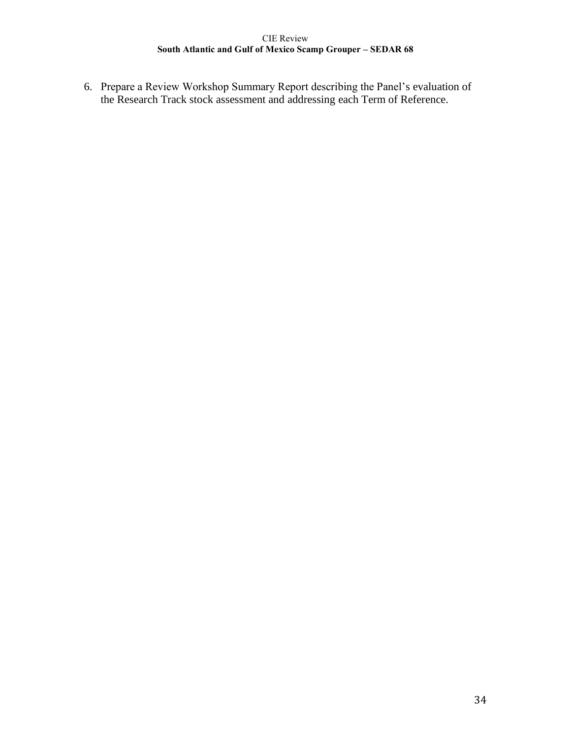6. Prepare a Review Workshop Summary Report describing the Panel's evaluation of the Research Track stock assessment and addressing each Term of Reference.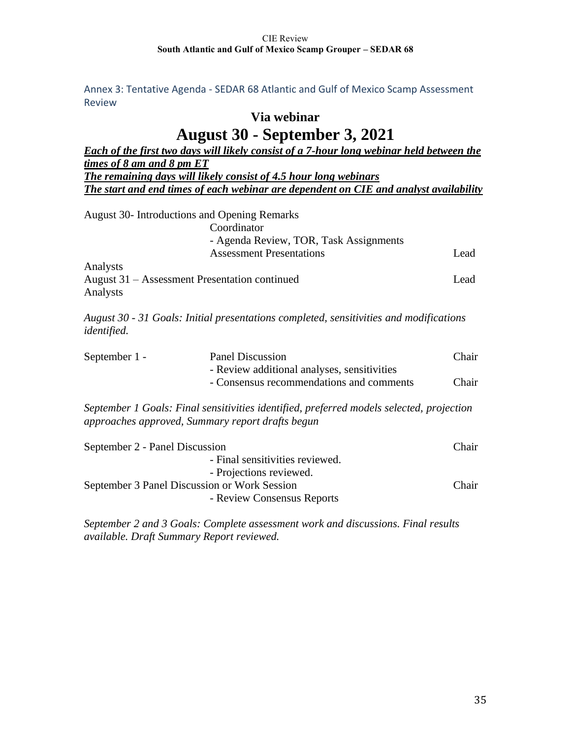Annex 3: Tentative Agenda - SEDAR 68 Atlantic and Gulf of Mexico Scamp Assessment Review

# **Via webinar**

# **August 30 - September 3, 2021**

| <b>Each of the first two days will likely consist of a 7-hour long webinar held between the</b> |                                                                                          |       |  |  |
|-------------------------------------------------------------------------------------------------|------------------------------------------------------------------------------------------|-------|--|--|
| times of 8 am and 8 pm ET                                                                       |                                                                                          |       |  |  |
| <b>The remaining days will likely consist of 4.5 hour long webinars</b>                         |                                                                                          |       |  |  |
| The start and end times of each webinar are dependent on CIE and analyst availability           |                                                                                          |       |  |  |
|                                                                                                 |                                                                                          |       |  |  |
|                                                                                                 | <b>August 30- Introductions and Opening Remarks</b>                                      |       |  |  |
|                                                                                                 | Coordinator                                                                              |       |  |  |
|                                                                                                 | - Agenda Review, TOR, Task Assignments                                                   |       |  |  |
|                                                                                                 | <b>Assessment Presentations</b>                                                          | Lead  |  |  |
| Analysts                                                                                        |                                                                                          |       |  |  |
|                                                                                                 | August 31 – Assessment Presentation continued                                            | Lead  |  |  |
| Analysts                                                                                        |                                                                                          |       |  |  |
|                                                                                                 |                                                                                          |       |  |  |
|                                                                                                 | August 30 - 31 Goals: Initial presentations completed, sensitivities and modifications   |       |  |  |
| identified.                                                                                     |                                                                                          |       |  |  |
|                                                                                                 |                                                                                          |       |  |  |
| September 1 -                                                                                   | <b>Panel Discussion</b>                                                                  | Chair |  |  |
|                                                                                                 | - Review additional analyses, sensitivities                                              |       |  |  |
|                                                                                                 | - Consensus recommendations and comments                                                 | Chair |  |  |
|                                                                                                 | September 1 Goals: Final sensitivities identified, preferred models selected, projection |       |  |  |
|                                                                                                 | approaches approved, Summary report drafts begun                                         |       |  |  |
|                                                                                                 |                                                                                          |       |  |  |
| September 2 - Panel Discussion                                                                  |                                                                                          | Chair |  |  |
|                                                                                                 | - Final sensitivities reviewed.                                                          |       |  |  |
|                                                                                                 | - Projections reviewed.                                                                  |       |  |  |
|                                                                                                 | September 3 Panel Discussion or Work Session                                             | Chair |  |  |
|                                                                                                 | - Review Consensus Reports                                                               |       |  |  |

*September 2 and 3 Goals: Complete assessment work and discussions. Final results available. Draft Summary Report reviewed.*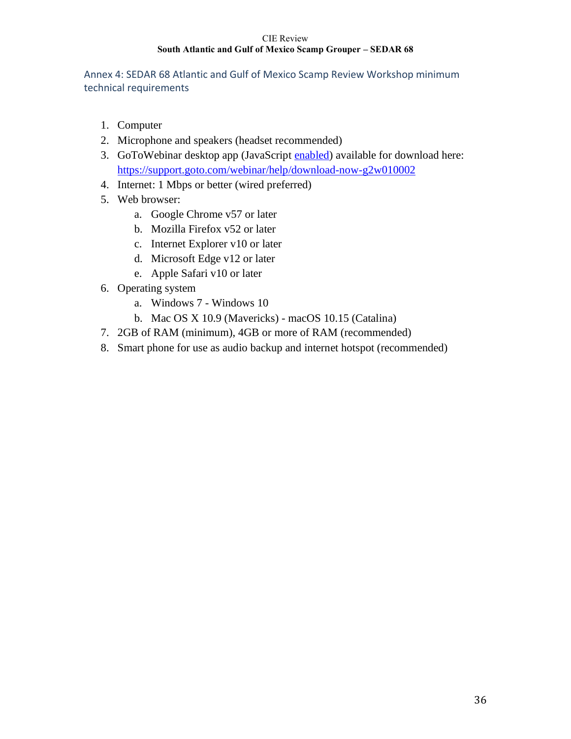Annex 4: SEDAR 68 Atlantic and Gulf of Mexico Scamp Review Workshop minimum technical requirements

- 1. Computer
- 2. Microphone and speakers (headset recommended)
- 3. GoToWebinar desktop app (JavaScript [enabled\)](http://enable-javascript.com/) available for download here: <https://support.goto.com/webinar/help/download-now-g2w010002>
- 4. Internet: 1 Mbps or better (wired preferred)
- 5. Web browser:
	- a. Google Chrome v57 or later
	- b. Mozilla Firefox v52 or later
	- c. Internet Explorer v10 or later
	- d. Microsoft Edge v12 or later
	- e. Apple Safari v10 or later
- 6. Operating system
	- a. Windows 7 Windows 10
	- b. Mac OS X 10.9 (Mavericks) macOS 10.15 (Catalina)
- 7. 2GB of RAM (minimum), 4GB or more of RAM (recommended)
- 8. Smart phone for use as audio backup and internet hotspot (recommended)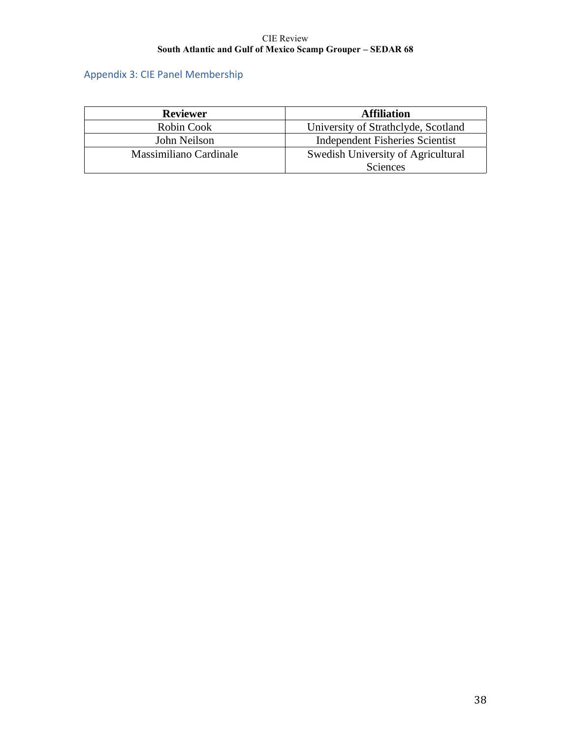# Appendix 3: CIE Panel Membership

| <b>Reviewer</b>        | <b>Affiliation</b>                  |
|------------------------|-------------------------------------|
| Robin Cook             | University of Strathclyde, Scotland |
| John Neilson           | Independent Fisheries Scientist     |
| Massimiliano Cardinale | Swedish University of Agricultural  |
|                        | Sciences                            |